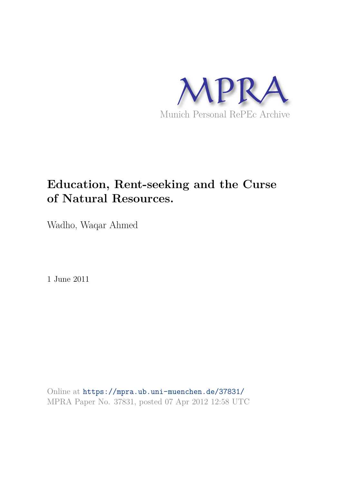

# **Education, Rent-seeking and the Curse of Natural Resources.**

Wadho, Waqar Ahmed

1 June 2011

Online at https://mpra.ub.uni-muenchen.de/37831/ MPRA Paper No. 37831, posted 07 Apr 2012 12:58 UTC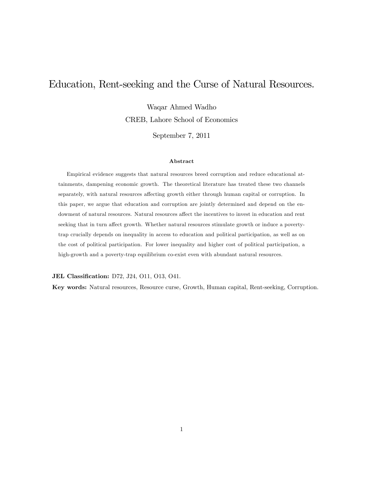# Education, Rent-seeking and the Curse of Natural Resources.

Waqar Ahmed Wadho

CREB, Lahore School of Economics

September 7, 2011

#### Abstract

Empirical evidence suggests that natural resources breed corruption and reduce educational attainments, dampening economic growth. The theoretical literature has treated these two channels separately, with natural resources affecting growth either through human capital or corruption. In this paper, we argue that education and corruption are jointly determined and depend on the endowment of natural resources. Natural resources affect the incentives to invest in education and rent seeking that in turn affect growth. Whether natural resources stimulate growth or induce a povertytrap crucially depends on inequality in access to education and political participation, as well as on the cost of political participation. For lower inequality and higher cost of political participation, a high-growth and a poverty-trap equilibrium co-exist even with abundant natural resources.

JEL Classification: D72, J24, O11, O13, O41.

Key words: Natural resources, Resource curse, Growth, Human capital, Rent-seeking, Corruption.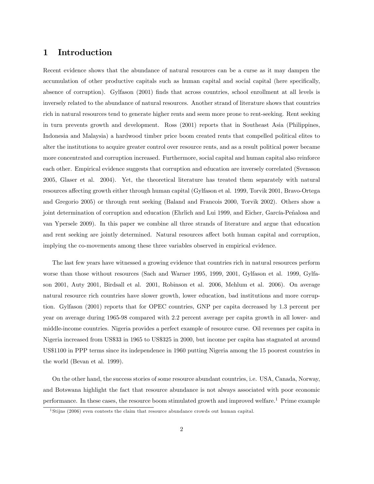# 1 Introduction

Recent evidence shows that the abundance of natural resources can be a curse as it may dampen the accumulation of other productive capitals such as human capital and social capital (here specifically, absence of corruption). Gylfason (2001) finds that across countries, school enrollment at all levels is inversely related to the abundance of natural resources. Another strand of literature shows that countries rich in natural resources tend to generate higher rents and seem more prone to rent-seeking. Rent seeking in turn prevents growth and development. Ross (2001) reports that in Southeast Asia (Philippines, Indonesia and Malaysia) a hardwood timber price boom created rents that compelled political elites to alter the institutions to acquire greater control over resource rents, and as a result political power became more concentrated and corruption increased. Furthermore, social capital and human capital also reinforce each other. Empirical evidence suggests that corruption and education are inversely correlated (Svensson 2005, Glaser et al. 2004). Yet, the theoretical literature has treated them separately with natural resources affecting growth either through human capital (Gylfason et al. 1999, Torvik 2001, Bravo-Ortega and Gregorio 2005) or through rent seeking (Baland and Francois 2000, Torvik 2002). Others show a joint determination of corruption and education (Ehrlich and Lui 1999, and Eicher, García-Peñalosa and van Ypersele 2009). In this paper we combine all three strands of literature and argue that education and rent seeking are jointly determined. Natural resources affect both human capital and corruption, implying the co-movements among these three variables observed in empirical evidence.

The last few years have witnessed a growing evidence that countries rich in natural resources perform worse than those without resources (Sach and Warner 1995, 1999, 2001, Gylfason et al. 1999, Gylfason 2001, Auty 2001, Birdsall et al. 2001, Robinson et al. 2006, Mehlum et al. 2006). On average natural resource rich countries have slower growth, lower education, bad institutions and more corruption. Gylfason (2001) reports that for OPEC countries, GNP per capita decreased by 1.3 percent per year on average during 1965-98 compared with 2.2 percent average per capita growth in all lower- and middle-income countries. Nigeria provides a perfect example of resource curse. Oil revenues per capita in Nigeria increased from US\$33 in 1965 to US\$325 in 2000, but income per capita has stagnated at around US\$1100 in PPP terms since its independence in 1960 putting Nigeria among the 15 poorest countries in the world (Bevan et al. 1999).

On the other hand, the success stories of some resource abundant countries, i.e. USA, Canada, Norway, and Botswana highlight the fact that resource abundance is not always associated with poor economic performance. In these cases, the resource boom stimulated growth and improved welfare.<sup>1</sup> Prime example

<sup>1</sup> Stijns (2006) even contests the claim that resource abundance crowds out human capital.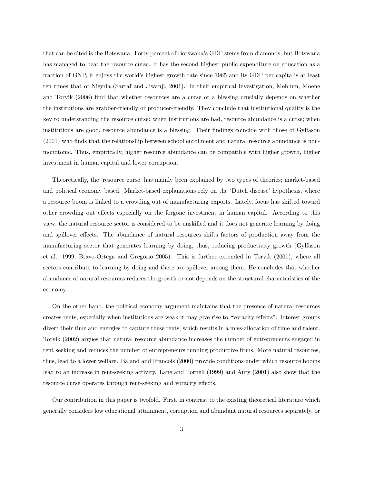that can be cited is the Botswana. Forty percent of Botswanaís GDP stems from diamonds, but Botswana has managed to beat the resource curse. It has the second highest public expenditure on education as a fraction of GNP, it enjoys the world's highest growth rate since 1965 and its GDP per capita is at least ten times that of Nigeria (Sarraf and Jiwanji, 2001). In their empirical investigation, Mehlum, Moene and Torvik (2006) find that whether resources are a curse or a blessing crucially depends on whether the institutions are grabber-friendly or producer-friendly. They conclude that institutional quality is the key to understanding the resource curse: when institutions are bad, resource abundance is a curse; when institutions are good, resource abundance is a blessing. Their findings coincide with those of Gylfason  $(2001)$  who finds that the relationship between school enrollment and natural resource abundance is nonmonotonic. Thus, empirically, higher resource abundance can be compatible with higher growth, higher investment in human capital and lower corruption.

Theoretically, the ëresource curseí has mainly been explained by two types of theories; market-based and political economy based. Market-based explanations rely on the 'Dutch disease' hypothesis, where a resource boom is linked to a crowding out of manufacturing exports. Lately, focus has shifted toward other crowding out effects especially on the forgone investment in human capital. According to this view, the natural resource sector is considered to be unskilled and it does not generate learning by doing and spillover effects. The abundance of natural resources shifts factors of production away from the manufacturing sector that generates learning by doing, thus, reducing productivity growth (Gylfason et al. 1999, Bravo-Ortega and Gregorio 2005). This is further extended in Torvik (2001), where all sectors contribute to learning by doing and there are spillover among them. He concludes that whether abundance of natural resources reduces the growth or not depends on the structural characteristics of the economy.

On the other hand, the political economy argument maintains that the presence of natural resources creates rents, especially when institutions are weak it may give rise to "voracity effects". Interest groups divert their time and energies to capture these rents, which results in a miss-allocation of time and talent. Torvik (2002) argues that natural resource abundance increases the number of entrepreneurs engaged in rent seeking and reduces the number of entrepreneurs running productive firms. More natural resources, thus, lead to a lower welfare. Baland and Francois (2000) provide conditions under which resource booms lead to an increase in rent-seeking activity. Lane and Tornell (1999) and Auty (2001) also show that the resource curse operates through rent-seeking and voracity effects.

Our contribution in this paper is twofold. First, in contrast to the existing theoretical literature which generally considers low educational attainment, corruption and abundant natural resources separately, or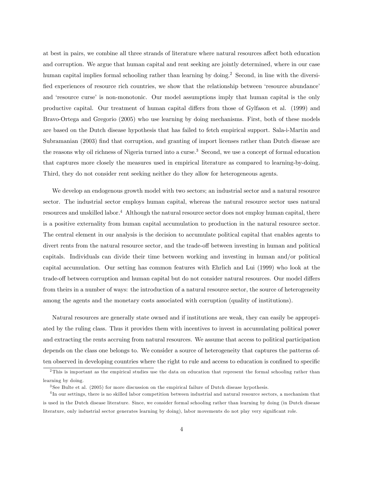at best in pairs, we combine all three strands of literature where natural resources affect both education and corruption. We argue that human capital and rent seeking are jointly determined, where in our case human capital implies formal schooling rather than learning by doing.<sup>2</sup> Second, in line with the diversified experiences of resource rich countries, we show that the relationship between 'resource abundance' and 'resource curse' is non-monotonic. Our model assumptions imply that human capital is the only productive capital. Our treatment of human capital differs from those of Gylfason et al. (1999) and Bravo-Ortega and Gregorio (2005) who use learning by doing mechanisms. First, both of these models are based on the Dutch disease hypothesis that has failed to fetch empirical support. Sala-i-Martin and Subramanian (2003) find that corruption, and granting of import licenses rather than Dutch disease are the reasons why oil richness of Nigeria turned into a curse.<sup>3</sup> Second, we use a concept of formal education that captures more closely the measures used in empirical literature as compared to learning-by-doing. Third, they do not consider rent seeking neither do they allow for heterogeneous agents.

We develop an endogenous growth model with two sectors; an industrial sector and a natural resource sector. The industrial sector employs human capital, whereas the natural resource sector uses natural resources and unskilled labor.<sup>4</sup> Although the natural resource sector does not employ human capital, there is a positive externality from human capital accumulation to production in the natural resource sector. The central element in our analysis is the decision to accumulate political capital that enables agents to divert rents from the natural resource sector, and the trade-off between investing in human and political capitals. Individuals can divide their time between working and investing in human and/or political capital accumulation. Our setting has common features with Ehrlich and Lui (1999) who look at the trade-off between corruption and human capital but do not consider natural resources. Our model differs from theirs in a number of ways: the introduction of a natural resource sector, the source of heterogeneity among the agents and the monetary costs associated with corruption (quality of institutions).

Natural resources are generally state owned and if institutions are weak, they can easily be appropriated by the ruling class. Thus it provides them with incentives to invest in accumulating political power and extracting the rents accruing from natural resources. We assume that access to political participation depends on the class one belongs to. We consider a source of heterogeneity that captures the patterns often observed in developing countries where the right to rule and access to education is confined to specific

 $2$ This is important as the empirical studies use the data on education that represent the formal schooling rather than learning by doing.

<sup>3</sup> See Bulte et al. (2005) for more discussion on the empirical failure of Dutch disease hypothesis.

<sup>4</sup> In our settings, there is no skilled labor competition between industrial and natural resource sectors, a mechanism that is used in the Dutch disease literature. Since, we consider formal schooling rather than learning by doing (in Dutch disease literature, only industrial sector generates learning by doing), labor movements do not play very significant role.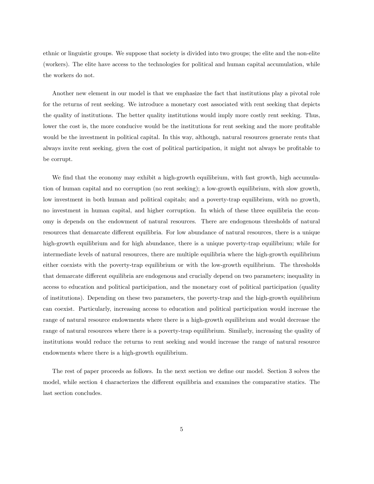ethnic or linguistic groups. We suppose that society is divided into two groups; the elite and the non-elite (workers). The elite have access to the technologies for political and human capital accumulation, while the workers do not.

Another new element in our model is that we emphasize the fact that institutions play a pivotal role for the returns of rent seeking. We introduce a monetary cost associated with rent seeking that depicts the quality of institutions. The better quality institutions would imply more costly rent seeking. Thus, lower the cost is, the more conducive would be the institutions for rent seeking and the more profitable would be the investment in political capital. In this way, although, natural resources generate rents that always invite rent seeking, given the cost of political participation, it might not always be profitable to be corrupt.

We find that the economy may exhibit a high-growth equilibrium, with fast growth, high accumulation of human capital and no corruption (no rent seeking); a low-growth equilibrium, with slow growth, low investment in both human and political capitals; and a poverty-trap equilibrium, with no growth, no investment in human capital, and higher corruption. In which of these three equilibria the economy is depends on the endowment of natural resources. There are endogenous thresholds of natural resources that demarcate different equilibria. For low abundance of natural resources, there is a unique high-growth equilibrium and for high abundance, there is a unique poverty-trap equilibrium; while for intermediate levels of natural resources, there are multiple equilibria where the high-growth equilibrium either coexists with the poverty-trap equilibrium or with the low-growth equilibrium. The thresholds that demarcate different equilibria are endogenous and crucially depend on two parameters; inequality in access to education and political participation, and the monetary cost of political participation (quality of institutions). Depending on these two parameters, the poverty-trap and the high-growth equilibrium can coexist. Particularly, increasing access to education and political participation would increase the range of natural resource endowments where there is a high-growth equilibrium and would decrease the range of natural resources where there is a poverty-trap equilibrium. Similarly, increasing the quality of institutions would reduce the returns to rent seeking and would increase the range of natural resource endowments where there is a high-growth equilibrium.

The rest of paper proceeds as follows. In the next section we define our model. Section 3 solves the model, while section 4 characterizes the different equilibria and examines the comparative statics. The last section concludes.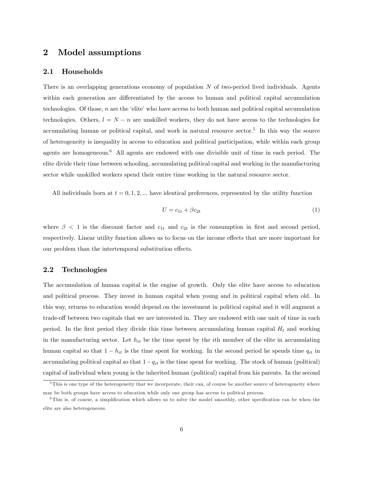### 2 Model assumptions

#### 2.1 Households

There is an overlapping generations economy of population  $N$  of two-period lived individuals. Agents within each generation are differentiated by the access to human and political capital accumulation technologies. Of those,  $n$  are the 'elite' who have access to both human and political capital accumulation technologies. Others,  $l = N - n$  are unskilled workers, they do not have access to the technologies for accumulating human or political capital, and work in natural resource sector.<sup>5</sup> In this way the source of heterogeneity is inequality in access to education and political participation, while within each group agents are homogeneous.<sup>6</sup> All agents are endowed with one divisible unit of time in each period. The elite divide their time between schooling, accumulating political capital and working in the manufacturing sector while unskilled workers spend their entire time working in the natural resource sector.

All individuals born at  $t = 0, 1, 2, \dots$  have identical preferences, represented by the utility function

$$
U = c_{1t} + \beta c_{2t} \tag{1}
$$

where  $\beta$  < 1 is the discount factor and  $c_{1t}$  and  $c_{2t}$  is the consumption in first and second period, respectively. Linear utility function allows us to focus on the income effects that are more important for our problem than the intertemporal substitution effects.

#### 2.2 Technologies

The accumulation of human capital is the engine of growth. Only the elite have access to education and political process. They invest in human capital when young and in political capital when old. In this way, returns to education would depend on the investment in political capital and it will augment a trade-off between two capitals that we are interested in. They are endowed with one unit of time in each period. In the first period they divide this time between accumulating human capital  $H_t$  and working in the manufacturing sector. Let  $h_{it}$  be the time spent by the *i*th member of the elite in accumulating human capital so that  $1 - h_{it}$  is the time spent for working. In the second period he spends time  $q_{it}$  in accumulating political capital so that  $1-q_{it}$  is the time spent for working. The stock of human (political) capital of individual when young is the inherited human (political) capital from his parents. In the second

 $5$ This is one type of the heterogeneity that we incorporate, their can, of course be another source of heterogeneity where may be both groups have access to education while only one group has access to political process.

 $6$ This is, of course, a simplification which allows us to solve the model smoothly, other specification can be when the elite are also heterogeneous.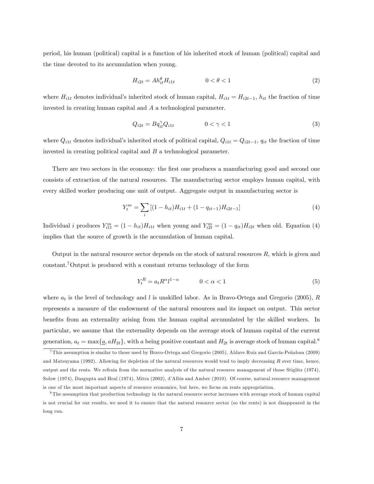period, his human (political) capital is a function of his inherited stock of human (political) capital and the time devoted to its accumulation when young.

$$
H_{i2t} = Ah_{it}^{\theta}H_{i1t} \qquad \qquad 0 < \theta < 1 \tag{2}
$$

where  $H_{i1t}$  denotes individual's inherited stock of human capital,  $H_{i1t} = H_{i2t-1}$ ,  $h_{it}$  the fraction of time invested in creating human capital and A a technological parameter.

$$
Q_{i2t} = Bq_{it}^{\gamma} Q_{i1t} \qquad \qquad 0 < \gamma < 1 \tag{3}
$$

where  $Q_{i1t}$  denotes individual's inherited stock of political capital,  $Q_{i1t} = Q_{i2t-1}$ ,  $q_{it}$  the fraction of time invested in creating political capital and B a technological parameter.

There are two sectors in the economy: the first one produces a manufacturing good and second one consists of extraction of the natural resources. The manufacturing sector employs human capital, with every skilled worker producing one unit of output. Aggregate output in manufacturing sector is

$$
Y_t^m = \sum_i \left[ (1 - h_{it}) H_{i1t} + (1 - q_{it-1}) H_{i2t-1} \right] \tag{4}
$$

Individual *i* produces  $Y_{i1t}^m = (1 - h_{it})H_{i1t}$  when young and  $Y_{i2t}^m = (1 - q_{it})H_{i2t}$  when old. Equation (4) implies that the source of growth is the accumulation of human capital.

Output in the natural resource sector depends on the stock of natural resources  $R$ , which is given and constant.<sup>7</sup>Output is produced with a constant returns technology of the form

$$
Y_t^R = a_t R^{\alpha} l^{1-\alpha} \qquad \qquad 0 < \alpha < 1 \tag{5}
$$

where  $a_t$  is the level of technology and l is unskilled labor. As in Bravo-Ortega and Gregorio (2005), R represents a measure of the endowment of the natural resources and its impact on output. This sector benefits from an externality arising from the human capital accumulated by the skilled workers. In particular, we assume that the externality depends on the average stock of human capital of the current generation,  $a_t = \max\{a, aH_{2t}\}\$ , with a being positive constant and  $H_{2t}$  is average stock of human capital.<sup>8</sup>

 $^7$ This assumption is similar to those used by Bravo-Ortega and Gregorio (2005), Aldave Ruiz and García-Peñalosa (2009) and Matsuyama (1992). Allowing for depletion of the natural resources would tend to imply decreasing  $R$  over time, hence, output and the rents. We refrain from the normative analysis of the natural resource management of those Stiglitz (1974), Solow (1974), Dasgupta and Heal (1974), Mitra (2002), díAlbis and Ambec (2010). Of course, natural resource management is one of the most important aspects of resource economics, but here, we focus on rents appropriation.

<sup>&</sup>lt;sup>8</sup>The assumption that production technology in the natural resource sector increases with average stock of human capital is not crucial for our results, we need it to ensure that the natural resource sector (so the rents) is not disappeared in the long run.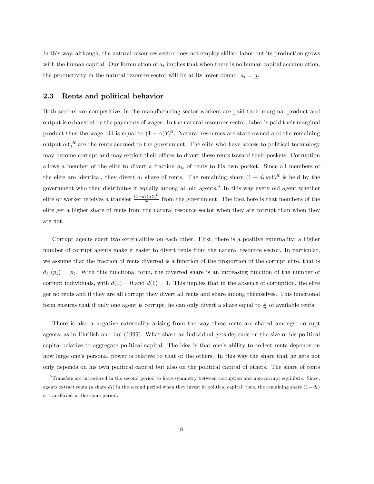In this way, although, the natural resources sector does not employ skilled labor but its production grows with the human capital. Our formulation of  $a_t$  implies that when there is no human capital accumulation, the productivity in the natural resource sector will be at its lower bound,  $a_t = \underline{a}$ .

#### 2.3 Rents and political behavior

Both sectors are competitive; in the manufacturing sector workers are paid their marginal product and output is exhausted by the payments of wages. In the natural resources sector, labor is paid their marginal product thus the wage bill is equal to  $(1 - \alpha)Y_t^R$ . Natural resources are state owned and the remaining output  $\alpha Y_t^R$  are the rents accrued to the government. The elite who have access to political technology may become corrupt and may exploit their offices to divert these rents toward their pockets. Corruption allows a member of the elite to divert a fraction  $d_{it}$  of rents to his own pocket. Since all members of the elite are identical, they divert  $d_t$  share of rents. The remaining share  $(1-d_t)\alpha Y_t^R$  is held by the government who then distributes it equally among all old agents.<sup>9</sup> In this way every old agent whether elite or worker receives a transfer  $\frac{(1-d_t)\alpha Y_t^R}{N}$  from the government. The idea here is that members of the elite get a higher share of rents from the natural resource sector when they are corrupt than when they are not.

Corrupt agents exert two externalities on each other. First, there is a positive externality; a higher number of corrupt agents make it easier to divert rents from the natural resource sector. In particular, we assume that the fraction of rents diverted is a function of the proportion of the corrupt elite, that is  $d_t$  ( $p_t$ ) =  $p_t$ . With this functional form, the diverted share is an increasing function of the number of corrupt individuals, with  $d(0) = 0$  and  $d(1) = 1$ . This implies that in the absence of corruption, the elite get no rents and if they are all corrupt they divert all rents and share among themselves. This functional form ensures that if only one agent is corrupt, he can only divert a share equal to  $\frac{1}{n}$  of available rents.

There is also a negative externality arising from the way these rents are shared amongst corrupt agents, as in Ehrilich and Lui (1999). What share an individual gets depends on the size of his political capital relative to aggregate political capital. The idea is that one's ability to collect rents depends on how large one's personal power is relative to that of the others. In this way the share that he gets not only depends on his own political capital but also on the political capital of others. The share of rents

<sup>9</sup> Transfers are introduced in the second period to have symmetry between corruption and non-corrupt equilibria. Since, agents extract rents (a share  $d_t$ ) in the second period when they invest in political capital, thus, the remaining share  $(1-d_t)$ is transferred in the same period.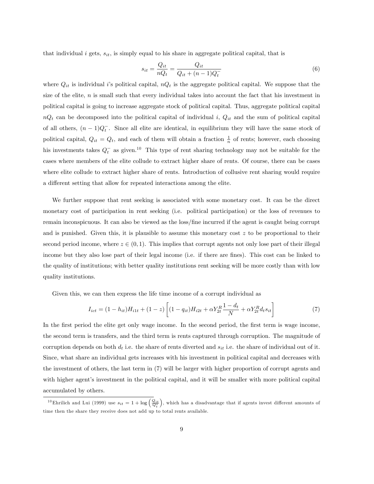that individual i gets,  $s_{it}$ , is simply equal to his share in aggregate political capital, that is

$$
s_{it} = \frac{Q_{it}}{nQ_t} = \frac{Q_{it}}{Q_{it} + (n-1)Q_t} \tag{6}
$$

where  $Q_{it}$  is individual i's political capital,  $nQ_t$  is the aggregate political capital. We suppose that the size of the elite,  $n$  is small such that every individual takes into account the fact that his investment in political capital is going to increase aggregate stock of political capital. Thus, aggregate political capital  $nQ_t$  can be decomposed into the political capital of individual i,  $Q_{it}$  and the sum of political capital of all others,  $(n-1)Q_t^ \bar{t}$ . Since all elite are identical, in equilibrium they will have the same stock of political capital,  $Q_{it} = Q_t$ , and each of them will obtain a fraction  $\frac{1}{n}$  of rents; however, each choosing his investments takes  $Q_t^-$  as given.<sup>10</sup> This type of rent sharing technology may not be suitable for the cases where members of the elite collude to extract higher share of rents. Of course, there can be cases where elite collude to extract higher share of rents. Introduction of collusive rent sharing would require a different setting that allow for repeated interactions among the elite.

We further suppose that rent seeking is associated with some monetary cost. It can be the direct monetary cost of participation in rent seeking (i.e. political participation) or the loss of revenues to remain inconspicuous. It can also be viewed as the loss/fine incurred if the agent is caught being corrupt and is punished. Given this, it is plausible to assume this monetary cost  $z$  to be proportional to their second period income, where  $z \in (0, 1)$ . This implies that corrupt agents not only lose part of their illegal income but they also lose part of their legal income (i.e. if there are fines). This cost can be linked to the quality of institutions; with better quality institutions rent seeking will be more costly than with low quality institutions.

Given this, we can then express the life time income of a corrupt individual as

$$
I_{ict} = (1 - h_{it})H_{i1t} + (1 - z)\left[ (1 - q_{it})H_{i2t} + \alpha Y_{2t}^{R} \frac{1 - d_t}{N} + \alpha Y_{2t}^{R} d_t s_{it} \right]
$$
(7)

In the first period the elite get only wage income. In the second period, the first term is wage income, the second term is transfers, and the third term is rents captured through corruption. The magnitude of corruption depends on both  $d_t$  i.e. the share of rents diverted and  $s_{it}$  i.e. the share of individual out of it. Since, what share an individual gets increases with his investment in political capital and decreases with the investment of others, the last term in (7) will be larger with higher proportion of corrupt agents and with higher agent's investment in the political capital, and it will be smaller with more political capital accumulated by others.

<sup>&</sup>lt;sup>10</sup>Ehrilich and Lui (1999) use  $s_{it} = 1 + \log \left( \frac{Q_{it}}{Q_t^*} \right)$ ), which has a disadvantage that if agents invest different amounts of time then the share they receive does not add up to total rents available.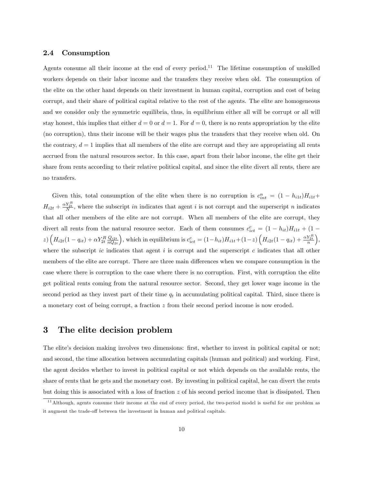#### 2.4 Consumption

Agents consume all their income at the end of every period.<sup>11</sup> The lifetime consumption of unskilled workers depends on their labor income and the transfers they receive when old. The consumption of the elite on the other hand depends on their investment in human capital, corruption and cost of being corrupt, and their share of political capital relative to the rest of the agents. The elite are homogeneous and we consider only the symmetric equilibria, thus, in equilibrium either all will be corrupt or all will stay honest, this implies that either  $d = 0$  or  $d = 1$ . For  $d = 0$ , there is no rents appropriation by the elite (no corruption), thus their income will be their wages plus the transfers that they receive when old. On the contrary,  $d = 1$  implies that all members of the elite are corrupt and they are appropriating all rents accrued from the natural resources sector. In this case, apart from their labor income, the elite get their share from rents according to their relative political capital, and since the elite divert all rents, there are no transfers.

Given this, total consumption of the elite when there is no corruption is  $c_{int}^{n} = (1 - h_{i1t})H_{i1t} +$  $H_{i2t} + \frac{\alpha Y_{2t}^R}{N}$ , where the subscript in indicates that agent i is not corrupt and the superscript n indicates that all other members of the elite are not corrupt. When all members of the elite are corrupt, they divert all rents from the natural resource sector. Each of them consumes  $c_{ict}^c = (1 - h_{it})H_{it} + (1 - h_{it})H_{it}$  $z\bigg)\, \Big(H_{i2t}(1-q_{it}) + \alpha Y_{2t}^R\,\frac{Q_{i2t}}{nQ_{2t}}$ ), which in equilibrium is  $c_{ict}^c = (1-h_{it})H_{i1t}+(1-z)\left(H_{i2t}(1-q_{it})+\frac{\alpha Y_{2t}^R}{n}\right)$  , where the subscript ic indicates that agent i is corrupt and the superscript c indicates that all other members of the elite are corrupt. There are three main differences when we compare consumption in the case where there is corruption to the case where there is no corruption. First, with corruption the elite get political rents coming from the natural resource sector. Second, they get lower wage income in the second period as they invest part of their time  $q_t$  in accumulating political capital. Third, since there is a monetary cost of being corrupt, a fraction z from their second period income is now eroded.

# 3 The elite decision problem

The elite's decision making involves two dimensions: first, whether to invest in political capital or not; and second, the time allocation between accumulating capitals (human and political) and working. First, the agent decides whether to invest in political capital or not which depends on the available rents, the share of rents that he gets and the monetary cost. By investing in political capital, he can divert the rents but doing this is associated with a loss of fraction z of his second period income that is dissipated. Then

 $11$ Although, agents consume their income at the end of every period, the two-period model is useful for our problem as it augment the trade-off between the investment in human and political capitals.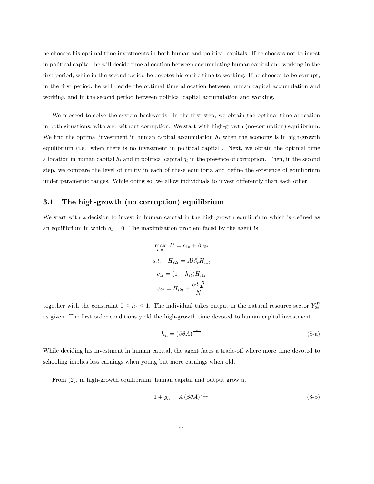he chooses his optimal time investments in both human and political capitals. If he chooses not to invest in political capital, he will decide time allocation between accumulating human capital and working in the first period, while in the second period he devotes his entire time to working. If he chooses to be corrupt, in the first period, he will decide the optimal time allocation between human capital accumulation and working, and in the second period between political capital accumulation and working.

We proceed to solve the system backwards. In the first step, we obtain the optimal time allocation in both situations, with and without corruption. We start with high-growth (no-corruption) equilibrium. We find the optimal investment in human capital accumulation  $h_t$  when the economy is in high-growth equilibrium (i.e. when there is no investment in political capital). Next, we obtain the optimal time allocation in human capital  $h_t$  and in political capital  $q_t$  in the presence of corruption. Then, in the second step, we compare the level of utility in each of these equilibria and define the existence of equilibrium under parametric ranges. While doing so, we allow individuals to invest differently than each other.

### 3.1 The high-growth (no corruption) equilibrium

We start with a decision to invest in human capital in the high growth equilibrium which is defined as an equilibrium in which  $q_t = 0$ . The maximization problem faced by the agent is

$$
\max_{c,h} U = c_{1t} + \beta c_{2t}
$$
  
s.t. 
$$
H_{i2t} = Ah_{it}^{\theta} H_{i1t}
$$

$$
c_{1t} = (1 - h_{it})H_{i1t}
$$

$$
c_{2t} = H_{i2t} + \frac{\alpha Y_{2t}^R}{N}
$$

together with the constraint  $0 \leq h_t \leq 1$ . The individual takes output in the natural resource sector  $Y_{2t}^R$ as given. The first order conditions yield the high-growth time devoted to human capital investment

$$
h_h = (\beta \theta A)^{\frac{1}{1-\theta}} \tag{8-a}
$$

While deciding his investment in human capital, the agent faces a trade-off where more time devoted to schooling implies less earnings when young but more earnings when old.

From (2), in high-growth equilibrium, human capital and output grow at

$$
1 + g_h = A \left(\beta \theta A\right)^{\frac{\theta}{1-\theta}} \tag{8-b}
$$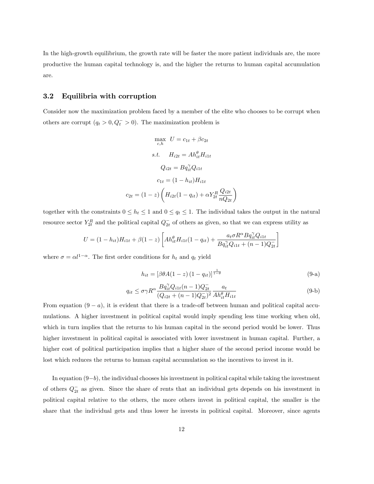In the high-growth equilibrium, the growth rate will be faster the more patient individuals are, the more productive the human capital technology is, and the higher the returns to human capital accumulation are.

#### 3.2 Equilibria with corruption

Consider now the maximization problem faced by a member of the elite who chooses to be corrupt when others are corrupt  $(q_t > 0, Q_t^{-} > 0)$ . The maximization problem is

$$
\max_{c,h} U = c_{1t} + \beta c_{2t}
$$
  
s.t. 
$$
H_{i2t} = Ah_{it}^{\theta} H_{i1t}
$$

$$
Q_{i2t} = Bq_{it}^{\gamma} Q_{i1t}
$$

$$
c_{1t} = (1 - h_{it})H_{i1t}
$$

$$
c_{2t} = (1 - z) \left( H_{i2t}(1 - q_{it}) + \alpha Y_{2t}^R \frac{Q_{i2t}}{nQ_{2t}} \right)
$$

together with the constraints  $0 \leq h_t \leq 1$  and  $0 \leq q_t \leq 1$ . The individual takes the output in the natural resource sector  $Y_{2t}^R$  and the political capital  $Q_{2t}^ \overline{c}_t$  of others as given, so that we can express utility as

$$
U = (1 - h_{it})H_{i1t} + \beta(1 - z) \left[ Ah_{it}^{\theta}H_{i1t}(1 - q_{it}) + \frac{a_t \sigma R^{\alpha} Bq_{it}^{\gamma} Q_{i1t}}{Bq_{it}^{\gamma} Q_{i1t} + (n - 1)Q_{2t}^{-}} \right]
$$

where  $\sigma = \alpha l^{1-\alpha}$ . The first order conditions for  $h_t$  and  $q_t$  yield

$$
h_{it} = [\beta \theta A (1 - z) (1 - q_{it})]^{\frac{1}{1 - \theta}}
$$
\n(9-a)

$$
q_{it} \leq \sigma \gamma R^{\alpha} \frac{B q_{it}^{\gamma} Q_{i1t} (n-1) Q_{2t}^{-}}{(Q_{i2t} + (n-1) Q_{2t}^{-})^2} \frac{a_t}{A h_{it}^{\theta} H_{i1t}} \tag{9-b}
$$

From equation  $(9 - a)$ , it is evident that there is a trade-off between human and political capital accumulations. A higher investment in political capital would imply spending less time working when old, which in turn implies that the returns to his human capital in the second period would be lower. Thus higher investment in political capital is associated with lower investment in human capital. Further, a higher cost of political participation implies that a higher share of the second period income would be lost which reduces the returns to human capital accumulation so the incentives to invest in it.

In equation  $(9-b)$ , the individual chooses his investment in political capital while taking the investment of others  $Q_{2t}^ \overline{2t}$  as given. Since the share of rents that an individual gets depends on his investment in political capital relative to the others, the more others invest in political capital, the smaller is the share that the individual gets and thus lower he invests in political capital. Moreover, since agents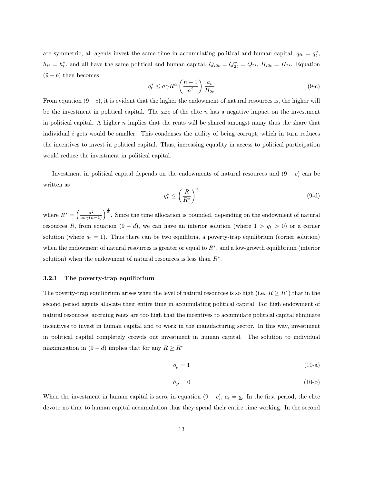are symmetric, all agents invest the same time in accumulating political and human capital,  $q_{it} = q_t^*$ ,  $h_{it} = h_t^*$ , and all have the same political and human capital,  $Q_{i2t} = Q_{2t} - Q_{2t}$ ,  $H_{i2t} = H_{2t}$ . Equation  $(9 - b)$  then becomes

$$
q_t^* \le \sigma \gamma R^{\alpha} \left(\frac{n-1}{n^2}\right) \frac{a_t}{H_{2t}} \tag{9-c}
$$

From equation  $(9-c)$ , it is evident that the higher the endowment of natural resources is, the higher will be the investment in political capital. The size of the elite  $n$  has a negative impact on the investment in political capital. A higher  $n$  implies that the rents will be shared amongst many thus the share that individual  $i$  gets would be smaller. This condenses the utility of being corrupt, which in turn reduces the incentives to invest in political capital. Thus, increasing equality in access to political participation would reduce the investment in political capital.

Investment in political capital depends on the endowments of natural resources and  $(9 - c)$  can be written as

$$
q_t^* \le \left(\frac{R}{R^*}\right)^\alpha \tag{9-d}
$$

where  $R^* = \left(\frac{n^2}{a\sigma\gamma(n-1)}\right)^{\frac{1}{\alpha}}$ . Since the time allocation is bounded, depending on the endowment of natural resources R, from equation  $(9 - d)$ , we can have an interior solution (where  $1 > q_t > 0$ ) or a corner solution (where  $q_t = 1$ ). Thus there can be two equilibria, a poverty-trap equilibrium (corner solution) when the endowment of natural resources is greater or equal to  $R^*$ , and a low-growth equilibrium (interior solution) when the endowment of natural resources is less than  $R^*$ .

#### 3.2.1 The poverty-trap equilibrium

The poverty-trap equilibrium arises when the level of natural resources is so high (i.e.  $R \geq R^*$ ) that in the second period agents allocate their entire time in accumulating political capital. For high endowment of natural resources, accruing rents are too high that the incentives to accumulate political capital eliminate incentives to invest in human capital and to work in the manufacturing sector. In this way, investment in political capital completely crowds out investment in human capital. The solution to individual maximization in  $(9-d)$  implies that for any  $R \geq R^*$ 

$$
q_p = 1 \tag{10-a}
$$

$$
h_p = 0 \tag{10-b}
$$

When the investment in human capital is zero, in equation  $(9 - c)$ ,  $a_t = a$ . In the first period, the elite devote no time to human capital accumulation thus they spend their entire time working. In the second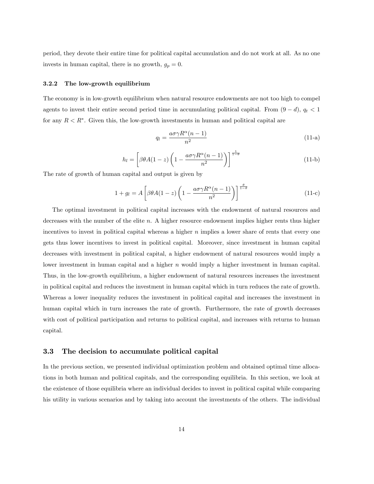period, they devote their entire time for political capital accumulation and do not work at all. As no one invests in human capital, there is no growth,  $g_p = 0$ .

#### 3.2.2 The low-growth equilibrium

The economy is in low-growth equilibrium when natural resource endowments are not too high to compel agents to invest their entire second period time in accumulating political capital. From  $(9-d)$ ,  $q_t < 1$ for any  $R < R^*$ . Given this, the low-growth investments in human and political capital are

$$
q_l = \frac{a\sigma\gamma R^{\alpha}(n-1)}{n^2} \tag{11-a}
$$

$$
h_l = \left[\beta \theta A (1-z) \left(1 - \frac{a \sigma \gamma R^{\alpha} (n-1)}{n^2}\right)\right]^{\frac{1}{1-\theta}}
$$
(11-b)

The rate of growth of human capital and output is given by

$$
1 + g_l = A \left[ \beta \theta A (1 - z) \left( 1 - \frac{a \sigma \gamma R^{\alpha} (n - 1)}{n^2} \right) \right]^{\frac{\theta}{1 - \theta}}
$$
(11-c)

The optimal investment in political capital increases with the endowment of natural resources and decreases with the number of the elite  $n$ . A higher resource endowment implies higher rents thus higher incentives to invest in political capital whereas a higher  $n$  implies a lower share of rents that every one gets thus lower incentives to invest in political capital. Moreover, since investment in human capital decreases with investment in political capital, a higher endowment of natural resources would imply a lower investment in human capital and a higher  $n$  would imply a higher investment in human capital. Thus, in the low-growth equilibrium, a higher endowment of natural resources increases the investment in political capital and reduces the investment in human capital which in turn reduces the rate of growth. Whereas a lower inequality reduces the investment in political capital and increases the investment in human capital which in turn increases the rate of growth. Furthermore, the rate of growth decreases with cost of political participation and returns to political capital, and increases with returns to human capital.

#### 3.3 The decision to accumulate political capital

In the previous section, we presented individual optimization problem and obtained optimal time allocations in both human and political capitals, and the corresponding equilibria. In this section, we look at the existence of those equilibria where an individual decides to invest in political capital while comparing his utility in various scenarios and by taking into account the investments of the others. The individual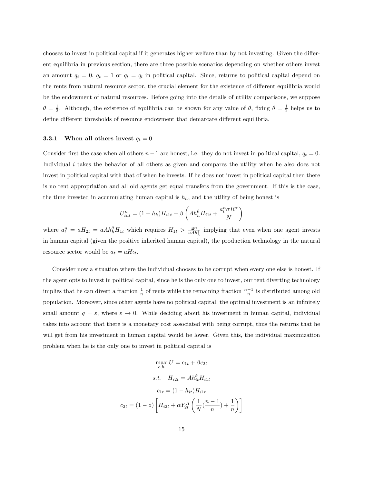chooses to invest in political capital if it generates higher welfare than by not investing. Given the different equilibria in previous section, there are three possible scenarios depending on whether others invest an amount  $q_t = 0$ ,  $q_t = 1$  or  $q_t = q_l$  in political capital. Since, returns to political capital depend on the rents from natural resource sector, the crucial element for the existence of different equilibria would be the endowment of natural resources. Before going into the details of utility comparisons, we suppose  $\theta = \frac{1}{2}$ . Although, the existence of equilibria can be shown for any value of  $\theta$ , fixing  $\theta = \frac{1}{2}$  helps us to define different thresholds of resource endowment that demarcate different equilibria.

#### 3.3.1 When all others invest  $q_t = 0$

Consider first the case when all others  $n-1$  are honest, i.e. they do not invest in political capital,  $q_t = 0$ . Individual i takes the behavior of all others as given and compares the utility when he also does not invest in political capital with that of when he invests. If he does not invest in political capital then there is no rent appropriation and all old agents get equal transfers from the government. If this is the case, the time invested in accumulating human capital is  $h_h$ , and the utility of being honest is

$$
U_{int}^{n} = (1 - h_h)H_{i1t} + \beta \left( Ah_h^{\theta} H_{i1t} + \frac{a_t^n \sigma R^{\alpha}}{N} \right)
$$

where  $a_t^n = aH_{2t} = aAh_h^{\theta}H_{1t}$  which requires  $H_{1t} > \frac{a_n}{aAh_h^{\theta}}$  implying that even when one agent invests in human capital (given the positive inherited human capital), the production technology in the natural resource sector would be  $a_t = aH_{2t}$ .

Consider now a situation where the individual chooses to be corrupt when every one else is honest. If the agent opts to invest in political capital, since he is the only one to invest, our rent diverting technology implies that he can divert a fraction  $\frac{1}{n}$  of rents while the remaining fraction  $\frac{n-1}{n}$  is distributed among old population. Moreover, since other agents have no political capital, the optimal investment is an infinitely small amount  $q = \varepsilon$ , where  $\varepsilon \to 0$ . While deciding about his investment in human capital, individual takes into account that there is a monetary cost associated with being corrupt, thus the returns that he will get from his investment in human capital would be lower. Given this, the individual maximization problem when he is the only one to invest in political capital is

$$
\max_{c,h} U = c_{1t} + \beta c_{2t}
$$
  
s.t.  $H_{i2t} = Ah_{it}^{\theta} H_{i1t}$   

$$
c_{1t} = (1 - h_{it})H_{i1t}
$$
  

$$
c_{2t} = (1 - z) \left[ H_{i2t} + \alpha Y_{2t}^{R} \left( \frac{1}{N} (\frac{n-1}{n}) + \frac{1}{n} \right) \right]
$$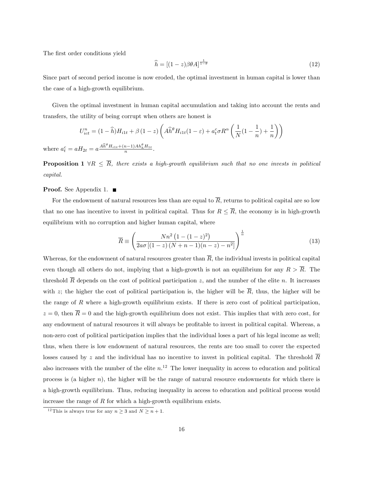The first order conditions yield

$$
\widehat{h} = \left[ (1-z)\beta \theta A \right]^{\frac{1}{1-\theta}} \tag{12}
$$

Since part of second period income is now eroded, the optimal investment in human capital is lower than the case of a high-growth equilibrium.

Given the optimal investment in human capital accumulation and taking into account the rents and transfers, the utility of being corrupt when others are honest is

$$
U_{ict}^{n} = (1 - \widehat{h})H_{i1t} + \beta(1 - z)\left(A\widehat{h}^{\theta}H_{i1t}(1 - \varepsilon) + a_{t}^{c}\sigma R^{\alpha}\left(\frac{1}{N}(1 - \frac{1}{n}) + \frac{1}{n}\right)\right)
$$
  

$$
aH_{2t} = a\frac{A\widehat{h}^{\theta}H_{i1t} + (n-1)Ah_{h}^{\theta}H_{1t}}{n!}.
$$

where  $a_t^c = aH_{2t} = a$ n .

**Proposition 1**  $\forall R \leq \overline{R}$ , there exists a high-growth equilibrium such that no one invests in political capital.

#### **Proof.** See Appendix 1. ■

For the endowment of natural resources less than are equal to  $\overline{R}$ , returns to political capital are so low that no one has incentive to invest in political capital. Thus for  $R \leq \overline{R}$ , the economy is in high-growth equilibrium with no corruption and higher human capital, where

$$
\overline{R} \equiv \left(\frac{Nn^2\left(1 - (1-z)^2\right)}{2a\sigma\left[(1-z)\left(N+n-1\right)(n-z)-n^2\right]}\right)^{\frac{1}{\alpha}}\tag{13}
$$

Whereas, for the endowment of natural resources greater than  $\overline{R}$ , the individual invests in political capital even though all others do not, implying that a high-growth is not an equilibrium for any  $R > \overline{R}$ . The threshold  $\overline{R}$  depends on the cost of political participation z, and the number of the elite n. It increases with z; the higher the cost of political participation is, the higher will be  $\overline{R}$ , thus, the higher will be the range of  $R$  where a high-growth equilibrium exists. If there is zero cost of political participation,  $z = 0$ , then  $\overline{R} = 0$  and the high-growth equilibrium does not exist. This implies that with zero cost, for any endowment of natural resources it will always be profitable to invest in political capital. Whereas, a non-zero cost of political participation implies that the individual loses a part of his legal income as well; thus, when there is low endowment of natural resources, the rents are too small to cover the expected losses caused by z and the individual has no incentive to invest in political capital. The threshold  $\overline{R}$ also increases with the number of the elite  $n^{12}$ . The lower inequality in access to education and political process is (a higher  $n$ ), the higher will be the range of natural resource endowments for which there is a high-growth equilibrium. Thus, reducing inequality in access to education and political process would increase the range of  $R$  for which a high-growth equilibrium exists.

<sup>&</sup>lt;sup>12</sup> This is always true for any  $n \geq 3$  and  $N \geq n + 1$ .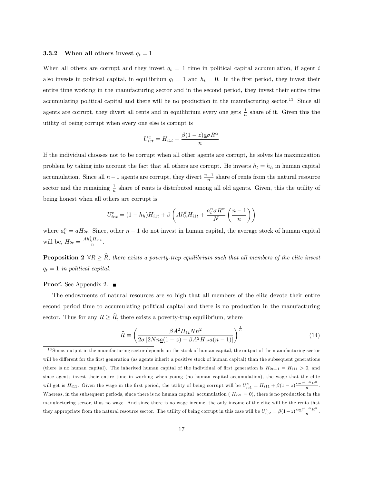#### **3.3.2** When all others invest  $q_t = 1$

When all others are corrupt and they invest  $q_t = 1$  time in political capital accumulation, if agent i also invests in political capital, in equilibrium  $q_t = 1$  and  $h_t = 0$ . In the first period, they invest their entire time working in the manufacturing sector and in the second period, they invest their entire time accumulating political capital and there will be no production in the manufacturing sector.<sup>13</sup> Since all agents are corrupt, they divert all rents and in equilibrium every one gets  $\frac{1}{n}$  share of it. Given this the utility of being corrupt when every one else is corrupt is

$$
U_{ict}^{c} = H_{i1t} + \frac{\beta(1-z)\underline{a}\sigma R^{\alpha}}{n}
$$

If the individual chooses not to be corrupt when all other agents are corrupt, he solves his maximization problem by taking into account the fact that all others are corrupt. He invests  $h_t = h_h$  in human capital accumulation. Since all  $n-1$  agents are corrupt, they divert  $\frac{n-1}{n}$  share of rents from the natural resource sector and the remaining  $\frac{1}{n}$  share of rents is distributed among all old agents. Given, this the utility of being honest when all others are corrupt is

$$
U_{int}^{c} = (1 - h_h)H_{i1t} + \beta \left( Ah_h^{\theta} H_{i1t} + \frac{a_t^n \sigma R^{\alpha}}{N} \left( \frac{n-1}{n} \right) \right)
$$

where  $a_t^n = aH_{2t}$ . Since, other  $n-1$  do not invest in human capital, the average stock of human capital will be,  $H_{2t} = \frac{Ah_h^{\theta}H_{i1t}}{n}$ .

**Proposition 2**  $\forall R \geq \widehat{R}$ , there exists a poverty-trap equilibrium such that all members of the elite invest  $q_t = 1$  in political capital.

#### **Proof.** See Appendix 2. ■

The endowments of natural resources are so high that all members of the elite devote their entire second period time to accumulating political capital and there is no production in the manufacturing sector. Thus for any  $R \geq \widehat{R}$ , there exists a poverty-trap equilibrium, where

$$
\widehat{R} \equiv \left(\frac{\beta A^2 H_{1t} N n^2}{2\sigma \left[2Nn\underline{a}(1-z) - \beta A^2 H_{1t} a(n-1)\right]}\right)^{\frac{1}{\alpha}}\tag{14}
$$

<sup>&</sup>lt;sup>13</sup> Since, output in the manufacturing sector depends on the stock of human capital, the output of the manufacturing sector will be different for the first generation (as agents inherit a positive stock of human capital) than the subsequent generations (there is no human capital). The inherited human capital of the individual of first generation is  $H_{2t-1} = H_{i11} > 0$ , and since agents invest their entire time in working when young (no human capital accumulation), the wage that the elite will get is  $H_{i11}$ . Given the wage in the first period, the utility of being corrupt will be  $U_{ic1}^c = H_{i11} + \beta(1-z)\frac{\alpha \underline{a}l^{1-\alpha}R^{\alpha}}{n}$ . Whereas, in the subsequent periods, since there is no human capital accumulation ( $H_{i21} = 0$ ), there is no production in the manufacturing sector, thus no wage. And since there is no wage income, the only income of the elite will be the rents that they appropriate from the natural resource sector. The utility of being corrupt in this case will be  $U_{ic2}^c = \beta(1-z) \frac{\alpha \underline{a} l^{1-\alpha} R^{\alpha}}{n}$ .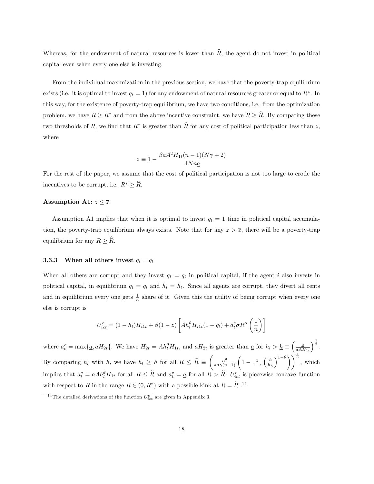Whereas, for the endowment of natural resources is lower than  $\widehat{R}$ , the agent do not invest in political capital even when every one else is investing.

From the individual maximization in the previous section, we have that the poverty-trap equilibrium exists (i.e. it is optimal to invest  $q_t = 1$ ) for any endowment of natural resources greater or equal to  $R^*$ . In this way, for the existence of poverty-trap equilibrium, we have two conditions, i.e. from the optimization problem, we have  $R \geq R^*$  and from the above incentive constraint, we have  $R \geq \widehat{R}$ . By comparing these two thresholds of R, we find that  $R^*$  is greater than  $\widehat{R}$  for any cost of political participation less than  $\overline{z}$ , where

$$
\overline{z} \equiv 1 - \frac{\beta a A^2 H_{1t}(n-1)(N\gamma + 2)}{4Nn\underline{a}}
$$

For the rest of the paper, we assume that the cost of political participation is not too large to erode the incentives to be corrupt, i.e.  $R^* \geq \widehat{R}$ .

#### Assumption A1:  $z \leq \overline{z}$ .

Assumption A1 implies that when it is optimal to invest  $q_t = 1$  time in political capital accumulation, the poverty-trap equilibrium always exists. Note that for any  $z > \overline{z}$ , there will be a poverty-trap equilibrium for any  $R \geq \widehat{R}$ .

#### **3.3.3** When all others invest  $q_t = q_l$

When all others are corrupt and they invest  $q_t = q_l$  in political capital, if the agent i also invests in political capital, in equilibrium  $q_t = q_l$  and  $h_t = h_l$ . Since all agents are corrupt, they divert all rents and in equilibrium every one gets  $\frac{1}{n}$  share of it. Given this the utility of being corrupt when every one else is corrupt is

$$
U_{ict}^{c} = (1 - h_l)H_{i1t} + \beta(1 - z)\left[Ah_l^{\theta}H_{i1t}(1 - q_l) + a_t^c\sigma R^{\alpha}\left(\frac{1}{n}\right)\right]
$$

where  $a_t^c = \max\{\underline{a}, aH_{2t}\}\$ . We have  $H_{2t} = Ah_t^{\theta}H_{1t}$ , and  $aH_{2t}$  is greater than  $\underline{a}$  for  $h_l > \underline{h} \equiv \left(\frac{\underline{a}}{aAH}\right)$  $aAH_{1t}$  $\int^{\frac{1}{\theta}}$ . By comparing  $h_l$  with  $\underline{h}$ , we have  $h_l \geq \underline{h}$  for all  $R \leq R \equiv$  $\left(\frac{n^2}{a\sigma\gamma(n-1)}\left(1-\frac{1}{1-z}\right.\right.$  $\left( \begin{array}{c} h \end{array} \right)$  $h_h$  $\binom{1-\theta}{\alpha}$ , which implies that  $a_t^c = aAh_t^{\theta}H_{1t}$  for all  $R \leq R$  and  $a_t^c = \underline{a}$  for all  $R > R$ .  $U_{ict}^c$  is piecewise concave function with respect to R in the range  $R \in (0, R^*)$  with a possible kink at  $R = \widetilde{R}$ .<sup>14</sup>

<sup>&</sup>lt;sup>14</sup>The detailed derivations of the function  $U_{ict}^c$  are given in Appendix 3.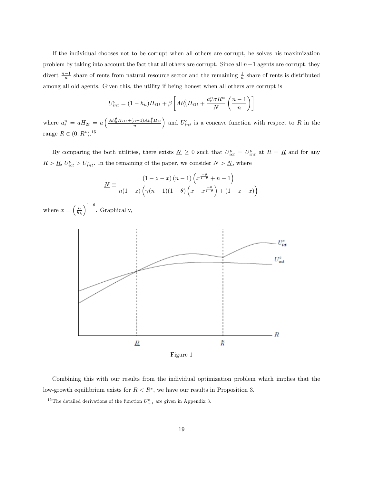If the individual chooses not to be corrupt when all others are corrupt, he solves his maximization problem by taking into account the fact that all others are corrupt. Since all  $n-1$  agents are corrupt, they divert  $\frac{n-1}{n}$  share of rents from natural resource sector and the remaining  $\frac{1}{n}$  share of rents is distributed among all old agents. Given this, the utility if being honest when all others are corrupt is

$$
U_{int}^{c} = (1 - h_h)H_{i1t} + \beta \left[ Ah_h^{\theta}H_{i1t} + \frac{a_t^n \sigma R^{\alpha}}{N} \left( \frac{n-1}{n} \right) \right]
$$

where  $a_t^n = aH_{2t} = a\left(\frac{Ah_h^{\theta}H_{i1t} + (n-1)Ah_l^{\theta}H_{1t}}{n}\right)$ ) and  $U_{int}^{c}$  is a concave function with respect to R in the range  $R \in (0, R^*)$ .<sup>15</sup>

By comparing the both utilities, there exists  $\underline{N} \geq 0$  such that  $U_{ict}^c = U_{int}^c$  at  $R = \underline{R}$  and for any  $R > \underline{R}$ ,  $U_{ict}^c > U_{int}^c$ . In the remaining of the paper, we consider  $N > \underline{N}$ , where

$$
\underline{N} \equiv \frac{(1-z-x)(n-1)\left(x^{\frac{-\theta}{1-\theta}}+n-1\right)}{n(1-z)\left(\gamma(n-1)(1-\theta)\left(x-x^{\frac{-\theta}{1-\theta}}\right)+(1-z-x)\right)}
$$

where  $x = \left(\frac{h}{h}\right)$  $h_h$  $\int_{0}^{1-\theta}$ . Graphically,



Combining this with our results from the individual optimization problem which implies that the low-growth equilibrium exists for  $R < R^*$ , we have our results in Proposition 3.

<sup>&</sup>lt;sup>15</sup>The detailed derivations of the function  $U_{int}^c$  are given in Appendix 3.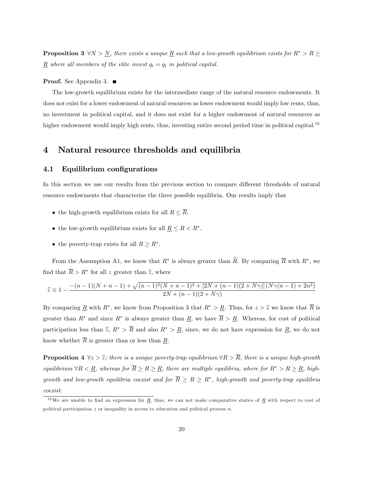**Proposition 3**  $\forall N > N$ , there exists a unique <u>R</u> such that a low-growth equilibrium exists for  $R^* > R \geq$  $\underline{R}$  where all members of the elite invest  $q_t = q_l$  in political capital.

#### Proof. See Appendix 3.

The low-growth equilibrium exists for the intermediate range of the natural resource endowments. It does not exist for a lower endowment of natural resources as lower endowment would imply low rents, thus, no investment in political capital, and it does not exist for a higher endowment of natural resources as higher endowment would imply high rents, thus, investing entire second period time in political capital.<sup>16</sup>

# 4 Natural resource thresholds and equilibria

#### 4.1 Equilibrium configurations

In this section we use our results from the previous section to compare different thresholds of natural resource endowments that characterize the three possible equilibria. Our results imply that

- the high-growth equilibrium exists for all  $R \leq \overline{R}$ .
- the low-growth equilibrium exists for all  $\underline{R} \leq R < R^*$ .
- the poverty-trap exists for all  $R \geq R^*$ .

From the Assumption A1, we know that  $R^*$  is always greater than  $\widehat{R}$ . By comparing  $\overline{R}$  with  $R^*$ , we find that  $\overline{R} > R^*$  for all z greater than  $\widehat{z}$ , where

$$
\widehat{z} \equiv 1 - \frac{-(n-1)(N+n-1) + \sqrt{(n-1)^2(N+n-1)^2 + [2N + (n-1)(2+N\gamma)](N\gamma(n-1)+2n^2)}}{2N + (n-1)(2+N\gamma)}
$$

By comparing  $\underline{R}$  with  $R^*$ , we know from Proposition 3 that  $R^* > \underline{R}$ . Thus, for  $z > \hat{z}$  we know that  $\overline{R}$  is greater than  $R^*$  and since  $R^*$  is always greater than  $\underline{R}$ , we have  $\overline{R} > \underline{R}$ . Whereas, for cost of political participation less than  $\hat{z}, R^* > \overline{R}$  and also  $R^* > \underline{R}$ , since, we do not have expression for  $\underline{R}$ , we do not know whether  $\overline{R}$  is greater than or less than R.

**Proposition 4**  $\forall z > \hat{z}$ ; there is a unique poverty-trap equilibrium  $\forall R > \overline{R}$ , there is a unique high-growth equilibrium  $\forall R \leq R$ , whereas for  $\overline{R} \geq R \geq \overline{R}$ , there are multiple equilibria, where for  $R^* > R \geq \overline{R}$ , highgrowth and low-growth equilibria coexist and for  $\overline{R} \geq R \geq R^*$ , high-growth and poverty-trap equilibria coexist.

<sup>&</sup>lt;sup>16</sup>We are unable to find an expression for <u>R</u>, thus, we can not make comparative statics of <u>R</u> with respect to cost of political participation  $z$  or inequality in access to education and political process  $n$ .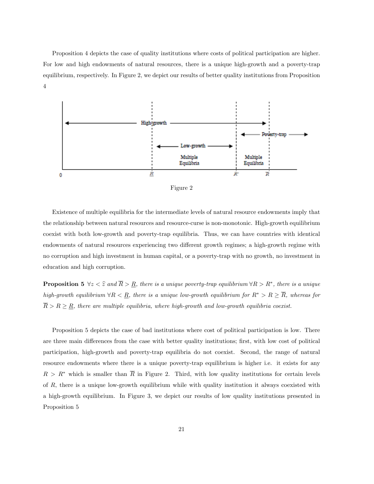Proposition 4 depicts the case of quality institutions where costs of political participation are higher. For low and high endowments of natural resources, there is a unique high-growth and a poverty-trap equilibrium, respectively. In Figure 2, we depict our results of better quality institutions from Proposition 4



Existence of multiple equilibria for the intermediate levels of natural resource endowments imply that the relationship between natural resources and resource-curse is non-monotonic. High-growth equilibrium coexist with both low-growth and poverty-trap equilibria. Thus, we can have countries with identical endowments of natural resources experiencing two different growth regimes; a high-growth regime with no corruption and high investment in human capital, or a poverty-trap with no growth, no investment in

education and high corruption.

**Proposition 5**  $\forall z < \hat{z}$  and  $\overline{R} > \underline{R}$ , there is a unique poverty-trap equilibrium  $\forall R > R^*$ , there is a unique high-growth equilibrium  $\forall R \leq \underline{R}$ , there is a unique low-growth equilibrium for  $R^* > R \geq \overline{R}$ , whereas for  $\overline{R} > R \geq \underline{R}$ , there are multiple equilibria, where high-growth and low-growth equilibria coexist.

Proposition 5 depicts the case of bad institutions where cost of political participation is low. There are three main differences from the case with better quality institutions; first, with low cost of political participation, high-growth and poverty-trap equilibria do not coexist. Second, the range of natural resource endowments where there is a unique poverty-trap equilibrium is higher i.e. it exists for any  $R > R^*$  which is smaller than  $\overline{R}$  in Figure 2. Third, with low quality institutions for certain levels of  $R$ , there is a unique low-growth equilibrium while with quality institution it always coexisted with a high-growth equilibrium. In Figure 3, we depict our results of low quality institutions presented in Proposition 5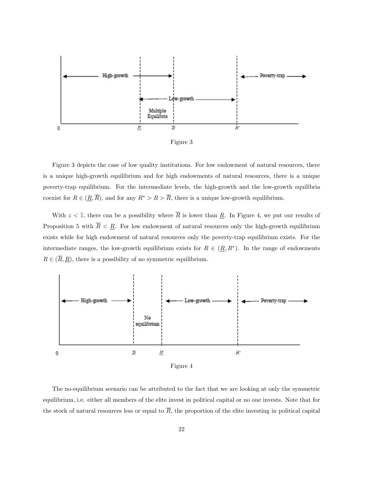

Figure 3 depicts the case of low quality institutions. For low endowment of natural resources, there is a unique high-growth equilibrium and for high endowments of natural resources, there is a unique poverty-trap equilibrium. For the intermediate levels, the high-growth and the low-growth equilibria coexist for  $R \in (\underline{R}, \overline{R})$ , and for any  $R^* > R > \overline{R}$ , there is a unique low-growth equilibrium.

With  $z < \hat{z}$ , there can be a possibility where  $\overline{R}$  is lower than  $\underline{R}$ . In Figure 4, we put our results of Proposition 5 with  $\overline{R} < \underline{R}$ . For low endowment of natural resources only the high-growth equilibrium exists while for high endowment of natural resources only the poverty-trap equilibrium exists. For the intermediate ranges, the low-growth equilibrium exists for  $R \in (R, R^*)$ . In the range of endowments  $R \in (\overline{R}, \underline{R})$ , there is a possibility of no symmetric equilibrium.



The no-equilibrium scenario can be attributed to the fact that we are looking at only the symmetric equilibrium, i.e. either all members of the elite invest in political capital or no one invests. Note that for the stock of natural resources less or equal to  $\overline{R}$ , the proportion of the elite investing in political capital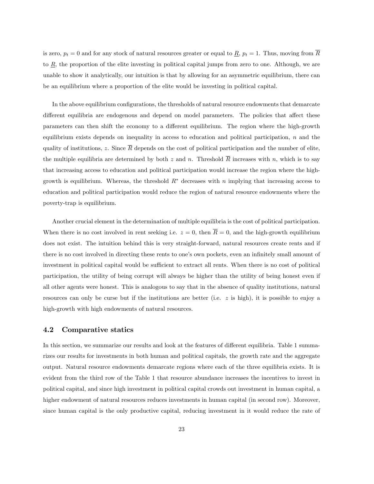is zero,  $p_t = 0$  and for any stock of natural resources greater or equal to  $\underline{R}$ ,  $p_t = 1$ . Thus, moving from R to  $R$ , the proportion of the elite investing in political capital jumps from zero to one. Although, we are unable to show it analytically, our intuition is that by allowing for an asymmetric equilibrium, there can be an equilibrium where a proportion of the elite would be investing in political capital.

In the above equilibrium configurations, the thresholds of natural resource endowments that demarcate different equilibria are endogenous and depend on model parameters. The policies that affect these parameters can then shift the economy to a different equilibrium. The region where the high-growth equilibrium exists depends on inequality in access to education and political participation,  $n$  and the quality of institutions, z. Since  $\overline{R}$  depends on the cost of political participation and the number of elite, the multiple equilibria are determined by both z and n. Threshold  $\overline{R}$  increases with n, which is to say that increasing access to education and political participation would increase the region where the highgrowth is equilibrium. Whereas, the threshold  $R^*$  decreases with n implying that increasing access to education and political participation would reduce the region of natural resource endowments where the poverty-trap is equilibrium.

Another crucial element in the determination of multiple equilibria is the cost of political participation. When there is no cost involved in rent seeking i.e.  $z = 0$ , then  $\overline{R} = 0$ , and the high-growth equilibrium does not exist. The intuition behind this is very straight-forward, natural resources create rents and if there is no cost involved in directing these rents to one's own pockets, even an infinitely small amount of investment in political capital would be sufficient to extract all rents. When there is no cost of political participation, the utility of being corrupt will always be higher than the utility of being honest even if all other agents were honest. This is analogous to say that in the absence of quality institutions, natural resources can only be curse but if the institutions are better (i.e.  $z$  is high), it is possible to enjoy a high-growth with high endowments of natural resources.

#### 4.2 Comparative statics

In this section, we summarize our results and look at the features of different equilibria. Table 1 summarizes our results for investments in both human and political capitals, the growth rate and the aggregate output. Natural resource endowments demarcate regions where each of the three equilibria exists. It is evident from the third row of the Table 1 that resource abundance increases the incentives to invest in political capital, and since high investment in political capital crowds out investment in human capital, a higher endowment of natural resources reduces investments in human capital (in second row). Moreover, since human capital is the only productive capital, reducing investment in it would reduce the rate of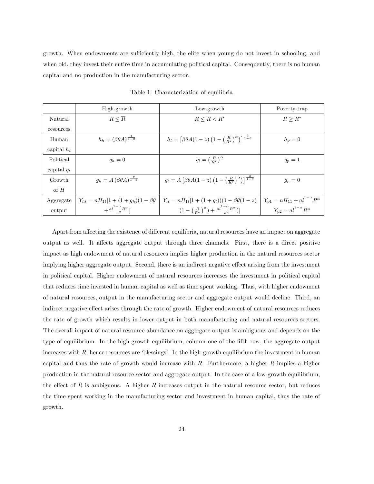growth. When endowments are sufficiently high, the elite when young do not invest in schooling, and when old, they invest their entire time in accumulating political capital. Consequently, there is no human capital and no production in the manufacturing sector.

|               | High-growth                                          | Low-growth                                                                                                        | Poverty-trap                                             |
|---------------|------------------------------------------------------|-------------------------------------------------------------------------------------------------------------------|----------------------------------------------------------|
| Natural       | $R \leq \overline{R}$                                | $R \leq R \leq R^*$                                                                                               | $R > R^*$                                                |
| resources     |                                                      |                                                                                                                   |                                                          |
| Human         | $h_h = (\beta \theta A)^{\frac{1}{1-\theta}}$        | $h_l = \left[\beta\theta A(1-z)\left(1-\left(\frac{R}{R^*}\right)^{\alpha}\right)\right]^{\frac{1}{1-\theta}}$    | $h_n=0$                                                  |
| capital $h_t$ |                                                      |                                                                                                                   |                                                          |
| Political     | $q_h=0$                                              | $q_l = \left(\frac{R}{B*}\right)^{\alpha}$                                                                        | $q_p=1$                                                  |
| capital $q_t$ |                                                      |                                                                                                                   |                                                          |
| Growth        | $g_h = A (\beta \theta A)^{\frac{\theta}{1-\theta}}$ | $g_l = A \left[ \beta \theta A (1-z) \left( 1 - \left( \frac{R}{D^*} \right)^{\alpha} \right) \right]^{1-\theta}$ | $g_p=0$                                                  |
| of $H$        |                                                      |                                                                                                                   |                                                          |
| Aggregate     | $Y_{ht} = nH_{1t}[1 + (1 + q_h)(1 - \beta\theta)]$   | $Y_{lt} = nH_{1t}[1 + (1+g_l)((1-\beta\theta(1-z))$                                                               | $Y_{p1} = nH_{11} + \underline{a}l^{1-\alpha}R^{\alpha}$ |
| output        | $+\frac{al^{1-\alpha}R^{\alpha}}{a^2}]$              | $\left(1-\left(\frac{R}{R^*}\right)^{\alpha}\right)+\frac{al^{1-\alpha}R^{\alpha}}{n^2}\right)$                   | $Y_{p2} = a l^{1-\alpha} R^{\alpha}$                     |

Table 1: Characterization of equilibria

Apart from affecting the existence of different equilibria, natural resources have an impact on aggregate output as well. It affects aggregate output through three channels. First, there is a direct positive impact as high endowment of natural resources implies higher production in the natural resources sector implying higher aggregate output. Second, there is an indirect negative effect arising from the investment in political capital. Higher endowment of natural resources increases the investment in political capital that reduces time invested in human capital as well as time spent working. Thus, with higher endowment of natural resources, output in the manufacturing sector and aggregate output would decline. Third, an indirect negative effect arises through the rate of growth. Higher endowment of natural resources reduces the rate of growth which results in lower output in both manufacturing and natural resources sectors. The overall impact of natural resource abundance on aggregate output is ambiguous and depends on the type of equilibrium. In the high-growth equilibrium, column one of the fifth row, the aggregate output increases with  $R$ , hence resources are 'blessings'. In the high-growth equilibrium the investment in human capital and thus the rate of growth would increase with  $R$ . Furthermore, a higher  $R$  implies a higher production in the natural resource sector and aggregate output. In the case of a low-growth equilibrium, the effect of R is ambiguous. A higher R increases output in the natural resource sector, but reduces the time spent working in the manufacturing sector and investment in human capital, thus the rate of growth.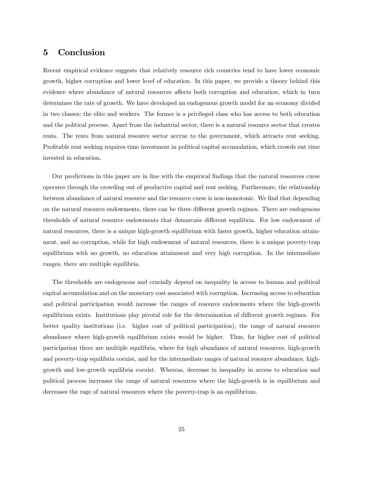# 5 Conclusion

Recent empirical evidence suggests that relatively resource rich countries tend to have lower economic growth, higher corruption and lower level of education. In this paper, we provide a theory behind this evidence where abundance of natural resources affects both corruption and education, which in turn determines the rate of growth. We have developed an endogenous growth model for an economy divided in two classes; the elite and workers. The former is a privileged class who has access to both education and the political process. Apart from the industrial sector, there is a natural resource sector that creates rents. The rents from natural resource sector accrue to the government, which attracts rent seeking. Profitable rent seeking requires time investment in political capital accumulation, which crowds out time invested in education.

Our predictions in this paper are in line with the empirical findings that the natural resources curse operates through the crowding out of productive capital and rent seeking. Furthermore, the relationship between abundance of natural resource and the resource curse is non-monotonic. We find that depending on the natural resource endowments, there can be three different growth regimes. There are endogenous thresholds of natural resource endowments that demarcate different equilibria. For low endowment of natural resources, there is a unique high-growth equilibrium with faster growth, higher education attainment, and no corruption, while for high endowment of natural resources, there is a unique poverty-trap equilibrium with no growth, no education attainment and very high corruption. In the intermediate ranges, there are multiple equilibria.

The thresholds are endogenous and crucially depend on inequality in access to human and political capital accumulation and on the monetary cost associated with corruption. Increasing access to education and political participation would increase the ranges of resource endowments where the high-growth equilibrium exists. Institutions play pivotal role for the determination of different growth regimes. For better quality institutions (i.e. higher cost of political participation), the range of natural resource abundance where high-growth equilibrium exists would be higher. Thus, for higher cost of political participation there are multiple equilibria, where for high abundance of natural resources, high-growth and poverty-trap equilibria coexist, and for the intermediate ranges of natural resource abundance, highgrowth and low-growth equilibria coexist. Whereas, decrease in inequality in access to education and political process increases the range of natural resources where the high-growth is in equilibrium and decreases the rage of natural resources where the poverty-trap is an equilibrium.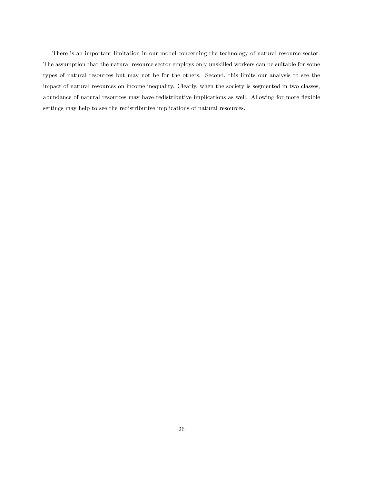There is an important limitation in our model concerning the technology of natural resource sector. The assumption that the natural resource sector employs only unskilled workers can be suitable for some types of natural resources but may not be for the others. Second, this limits our analysis to see the impact of natural resources on income inequality. Clearly, when the society is segmented in two classes, abundance of natural resources may have redistributive implications as well. Allowing for more flexible settings may help to see the redistributive implications of natural resources.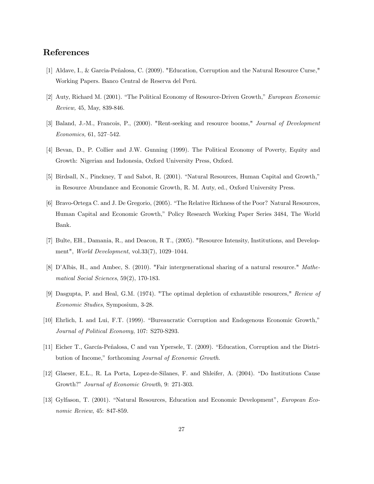# References

- [1] Aldave, I., & Garcia-Peñalosa, C. (2009). "Education, Corruption and the Natural Resource Curse," Working Papers. Banco Central de Reserva del Perú.
- [2] Auty, Richard M. (2001). "The Political Economy of Resource-Driven Growth," European Economic Review, 45, May, 839-846.
- [3] Baland, J.-M., Francois, P., (2000). "Rent-seeking and resource booms," Journal of Development  $Economics, 61, 527–542.$
- [4] Bevan, D., P. Collier and J.W. Gunning (1999). The Political Economy of Poverty, Equity and Growth: Nigerian and Indonesia, Oxford University Press, Oxford.
- [5] Birdsall, N., Pinckney, T and Sabot, R. (2001). "Natural Resources, Human Capital and Growth," in Resource Abundance and Economic Growth, R. M. Auty, ed., Oxford University Press.
- [6] Bravo-Ortega C. and J. De Gregorio, (2005). "The Relative Richness of the Poor? Natural Resources, Human Capital and Economic Growth," Policy Research Working Paper Series 3484, The World Bank.
- [7] Bulte, EH., Damania, R., and Deacon, R T., (2005). "Resource Intensity, Institutions, and Development", World Development, vol. $33(7)$ , 1029–1044.
- [8] D'Albis, H., and Ambec, S. (2010). "Fair intergenerational sharing of a natural resource." Mathematical Social Sciences, 59(2), 170-183.
- [9] Dasgupta, P. and Heal, G.M. (1974). "The optimal depletion of exhaustible resources," Review of Economic Studies, Symposium, 3-28.
- [10] Ehrlich, I. and Lui, F.T. (1999). "Bureaucratic Corruption and Endogenous Economic Growth," Journal of Political Economy, 107: S270-S293.
- [11] Eicher T., García-Peñalosa, C and van Ypersele, T. (2009). "Education, Corruption and the Distribution of Income," forthcoming *Journal of Economic Growth*.
- [12] Glaeser, E.L., R. La Porta, Lopez-de-Silanes, F. and Shleifer, A. (2004). "Do Institutions Cause Growth?" Journal of Economic Growth, 9: 271-303.
- [13] Gylfason, T. (2001). "Natural Resources, Education and Economic Development", European Economic Review, 45: 847-859.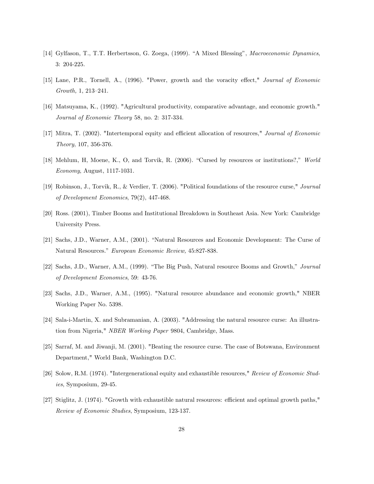- [14] Gylfason, T., T.T. Herbertsson, G. Zoega, (1999). "A Mixed Blessing", Macroeconomic Dynamics, 3: 204-225.
- [15] Lane, P.R., Tornell, A., (1996). "Power, growth and the voracity effect," Journal of Economic  $Growth, 1, 213–241.$
- [16] Matsuyama, K., (1992). "Agricultural productivity, comparative advantage, and economic growth." Journal of Economic Theory 58, no. 2: 317-334.
- [17] Mitra, T. (2002). "Intertemporal equity and efficient allocation of resources," Journal of Economic Theory, 107, 356-376.
- [18] Mehlum, H, Moene, K., O, and Torvik, R. (2006). "Cursed by resources or institutions?," World Economy, August, 1117-1031.
- [19] Robinson, J., Torvik, R., & Verdier, T. (2006). "Political foundations of the resource curse," Journal of Development Economics, 79(2), 447-468.
- [20] Ross. (2001), Timber Booms and Institutional Breakdown in Southeast Asia. New York: Cambridge University Press.
- [21] Sachs, J.D., Warner, A.M., (2001). "Natural Resources and Economic Development: The Curse of Natural Resources.î European Economic Review, 45:827-838.
- [22] Sachs, J.D., Warner, A.M., (1999). "The Big Push, Natural resource Booms and Growth," Journal of Development Economics, 59: 43-76.
- [23] Sachs, J.D., Warner, A.M., (1995). "Natural resource abundance and economic growth," NBER Working Paper No. 5398.
- [24] Sala-i-Martin, X. and Subramanian, A. (2003). "Addressing the natural resource curse: An illustration from Nigeria," NBER Working Paper 9804, Cambridge, Mass.
- [25] Sarraf, M. and Jiwanji, M. (2001). "Beating the resource curse. The case of Botswana, Environment Department," World Bank, Washington D.C.
- [26] Solow, R.M. (1974). "Intergenerational equity and exhaustible resources," Review of Economic Studies, Symposium, 29-45.
- [27] Stiglitz, J. (1974). "Growth with exhaustible natural resources: efficient and optimal growth paths," Review of Economic Studies, Symposium, 123-137.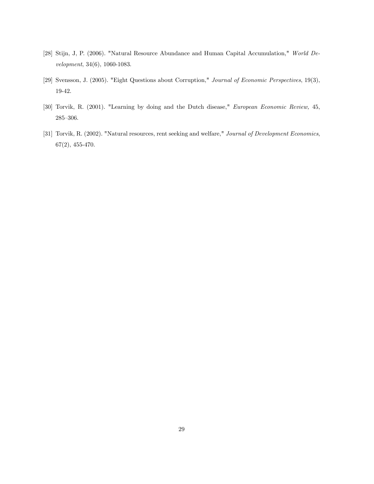- [28] Stijn, J, P. (2006). "Natural Resource Abundance and Human Capital Accumulation," World Development, 34(6), 1060-1083.
- [29] Svensson, J. (2005). "Eight Questions about Corruption," Journal of Economic Perspectives, 19(3), 19-42.
- [30] Torvik, R. (2001). "Learning by doing and the Dutch disease," European Economic Review, 45,  $285 - 306.$
- [31] Torvik, R. (2002). "Natural resources, rent seeking and welfare," Journal of Development Economics, 67(2), 455-470.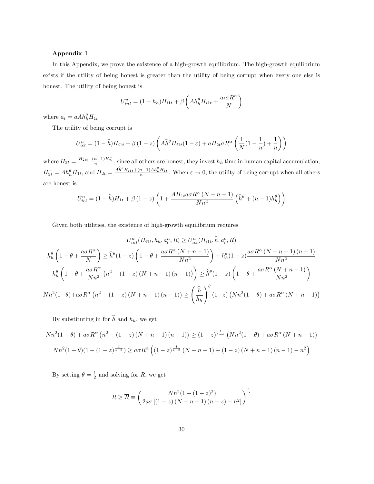#### Appendix 1

In this Appendix, we prove the existence of a high-growth equilibrium. The high-growth equilibrium exists if the utility of being honest is greater than the utility of being corrupt when every one else is honest. The utility of being honest is

$$
U_{int}^{n} = (1 - h_h)H_{i1t} + \beta \left( Ah_h^{\theta}H_{i1t} + \frac{a_t \sigma R^{\alpha}}{N} \right)
$$

where  $a_t = aAh_h^{\theta}H_{1t}$ .

The utility of being corrupt is

$$
U_{ict}^{n} = (1 - \widehat{h})H_{i1t} + \beta(1 - z)\left(A\widehat{h}^{\theta}H_{i1t}(1 - \varepsilon) + aH_{2t}\sigma R^{\alpha}\left(\frac{1}{N}(1 - \frac{1}{n}) + \frac{1}{n}\right)\right)
$$

where  $H_{2t} = \frac{H_{2it} + (n-1)H_{2t}^{-}}{n}$ , since all others are honest, they invest  $h_h$  time in human capital accumulation,  $H_{2t}^- = Ah_h^{\theta}H_{1t}$ , and  $H_{2t} = \frac{A\hat{h}^{\theta}H_{1t} + (n-1)Ah_h^{\theta}H_{1t}}{n}$ . When  $\varepsilon \to 0$ , the utility of being corrupt when all others are honest is

$$
U_{ict}^{n} = (1 - \widehat{h})H_{1t} + \beta (1 - z) \left(1 + \frac{AH_{1t} a \sigma R^{\alpha} (N + n - 1)}{Nn^{2}} \left(\widehat{h}^{\theta} + (n - 1)h_{h}^{\theta}\right)\right)
$$

Given both utilities, the existence of high-growth equilibrium requires

$$
U_{int}^{n}(H_{i1t}, h_h, a_t^n, R) \ge U_{ict}^{n}(H_{i1t}, \hat{h}, a_t^c, R)
$$
  
\n
$$
h_h^{\theta} \left(1 - \theta + \frac{a\sigma R^{\alpha}}{N}\right) \ge \hat{h}^{\theta}(1 - z) \left(1 - \theta + \frac{a\sigma R^{\alpha}(N + n - 1)}{Nn^2}\right) + h_h^{\theta}(1 - z) \frac{a\sigma R^{\alpha}(N + n - 1)(n - 1)}{Nn^2}
$$
  
\n
$$
h_h^{\theta} \left(1 - \theta + \frac{a\sigma R^{\alpha}}{Nn^2} \left(n^2 - (1 - z)(N + n - 1)(n - 1)\right)\right) \ge \hat{h}^{\theta}(1 - z) \left(1 - \theta + \frac{a\sigma R^{\alpha}(N + n - 1)}{Nn^2}\right)
$$
  
\n
$$
Nn^2(1 - \theta) + a\sigma R^{\alpha} \left(n^2 - (1 - z)(N + n - 1)(n - 1)\right) \ge \left(\frac{\hat{h}}{h_h}\right)^{\theta}(1 - z) \left(Nn^2(1 - \theta) + a\sigma R^{\alpha}(N + n - 1)\right)
$$

By substituting in for  $\hat{h}$  and  $h_h$ , we get

$$
Nn^{2}(1 - \theta) + a\sigma R^{\alpha} (n^{2} - (1 - z)(N + n - 1)(n - 1)) \ge (1 - z)^{\frac{1}{1 - \theta}} (Nn^{2}(1 - \theta) + a\sigma R^{\alpha} (N + n - 1))
$$
  

$$
Nn^{2}(1 - \theta)(1 - (1 - z)^{\frac{1}{1 - \theta}}) \ge a\sigma R^{\alpha} ((1 - z)^{\frac{1}{1 - \theta}} (N + n - 1) + (1 - z)(N + n - 1)(n - 1) - n^{2})
$$

By setting  $\theta = \frac{1}{2}$  and solving for R, we get

$$
R \ge \overline{R} \equiv \left(\frac{Nn^2(1 - (1 - z)^2)}{2a\sigma\left[(1 - z)(N + n - 1)(n - z) - n^2\right]}\right)^{\frac{1}{\alpha}}
$$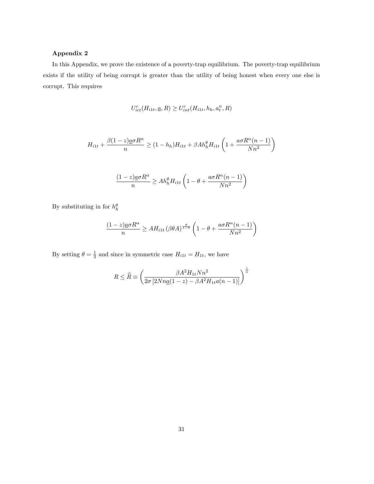#### Appendix 2

In this Appendix, we prove the existence of a poverty-trap equilibrium. The poverty-trap equilibrium exists if the utility of being corrupt is greater than the utility of being honest when every one else is corrupt. This requires

$$
U_{ict}^c(H_{i1t}, \underline{a}, R) \ge U_{int}^c(H_{i1t}, h_h, a_t^n, R)
$$

$$
H_{i1t} + \frac{\beta(1-z)\underline{a}\sigma R^{\alpha}}{n} \ge (1 - h_h)H_{i1t} + \beta Ah_h^{\theta}H_{i1t} \left(1 + \frac{a\sigma R^{\alpha}(n-1)}{Nn^2}\right)
$$

$$
\frac{(1-z)\underline{a}\sigma R^{\alpha}}{n} \geq Ah_h^{\theta} H_{i1t} \left(1 - \theta + \frac{a\sigma R^{\alpha}(n-1)}{Nn^2}\right)
$$

By substituting in for  $h_h^{\theta}$ 

$$
\frac{(1-z)\underline{a}\sigma R^\alpha}{n}\geq AH_{i1t}\left(\beta\theta A\right)^{\frac{\theta}{1-\theta}}\left(1-\theta+\frac{a\sigma R^\alpha(n-1)}{Nn^2}\right)
$$

By setting  $\theta = \frac{1}{2}$  and since in symmetric case  $H_{i1t} = H_{1t}$ , we have

$$
R \leq \widehat{R} \equiv \left(\frac{\beta A^2 H_{1t} N n^2}{2\sigma \left[2Nn\underline{a}(1-z) - \beta A^2 H_{1t} a(n-1)\right]}\right)^{\frac{1}{\alpha}}
$$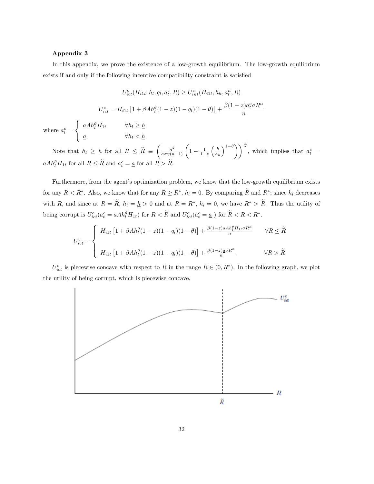#### Appendix 3

In this appendix, we prove the existence of a low-growth equilibrium. The low-growth equilibrium exists if and only if the following incentive compatibility constraint is satisfied

$$
U_{ict}^{c}(H_{i1t}, h_l, q_l, a_t^c, R) \ge U_{int}^{c}(H_{i1t}, h_h, a_t^n, R)
$$
  

$$
U_{ict}^{c} = H_{i1t} \left[1 + \beta A h_l^{\theta} (1 - z)(1 - q_l)(1 - \theta)\right] + \frac{\beta (1 - z) a_t^c \sigma R^{\alpha}}{n}
$$
  
where 
$$
a_t^c = \begin{cases} a A h_l^{\theta} H_{1t} & \forall h_l \ge \underline{h} \\ \underline{a} & \forall h_l < \underline{h} \end{cases}
$$

Note that  $h_l \geq \underline{h}$  for all  $R \leq R \equiv$  $\left(\frac{n^2}{a\sigma\gamma(n-1)}\left(1-\frac{1}{1-z}\right.\right.$  $\int h$  $_{h_h}$  $\binom{1-\theta}{k}$ , which implies that  $a_t^c =$  $aAh_l^{\theta}H_{1t}$  for all  $R \leq R$  and  $a_t^c = \underline{a}$  for all  $R > R$ .

Furthermore, from the agent's optimization problem, we know that the low-growth equilibrium exists for any  $R < R^*$ . Also, we know that for any  $R \ge R^*$ ,  $h_l = 0$ . By comparing  $\widetilde{R}$  and  $R^*$ ; since  $h_l$  decreases with R, and since at  $R = \tilde{R}$ ,  $h_l = \underline{h} > 0$  and at  $R = R^*$ ,  $h_l = 0$ , we have  $R^* > \tilde{R}$ . Thus the utility of being corrupt is  $U_{ict}^c(a_t^c = aAh_l^{\theta}H_{1t})$  for  $R < \tilde{R}$  and  $U_{ict}^c(a_t^c = \underline{a})$  for  $\tilde{R} < R < R^*$ .

$$
U_{ict}^{c} = \begin{cases} H_{i1t} \left[ 1 + \beta A h_{l}^{\theta} (1 - z)(1 - q_{l})(1 - \theta) \right] + \frac{\beta (1 - z)a A h_{l}^{\theta} H_{1t} \sigma R^{\alpha}}{n} & \forall R \leq \widetilde{R} \\ H_{i1t} \left[ 1 + \beta A h_{l}^{\theta} (1 - z)(1 - q_{l})(1 - \theta) \right] + \frac{\beta (1 - z)a \sigma R^{\alpha}}{n} & \forall R > \widetilde{R} \end{cases}
$$

 $U_{ict}^{c}$  is piecewise concave with respect to R in the range  $R \in (0, R^{*})$ . In the following graph, we plot the utility of being corrupt, which is piecewise concave,

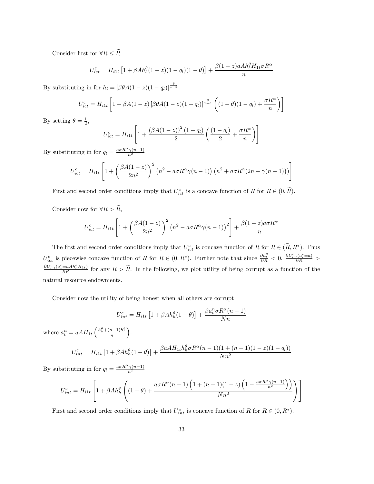Consider first for  $\forall R \leq \widetilde{R}$ 

$$
U_{ict}^{c} = H_{i1t} \left[ 1 + \beta A h_{l}^{\theta} (1 - z)(1 - q_{l})(1 - \theta) \right] + \frac{\beta (1 - z) a A h_{l}^{\theta} H_{1t} \sigma R^{\alpha}}{n}
$$

By substituting in for  $h_l = [\beta \theta A(1-z)(1-q_l)]^{\frac{\theta}{1-\theta}}$ 

$$
U_{ict}^{c} = H_{i1t} \left[ 1 + \beta A(1-z) \left[ \beta \theta A(1-z)(1-q_l) \right]^{\frac{\theta}{1-\theta}} \left( (1-\theta)(1-q_l) + \frac{\sigma R^{\alpha}}{n} \right) \right]
$$

By setting  $\theta = \frac{1}{2}$ ,

$$
U_{ict}^{c} = H_{i1t} \left[ 1 + \frac{\left(\beta A (1-z)\right)^{2} (1 - q_{l})}{2} \left( \frac{(1 - q_{l})}{2} + \frac{\sigma R^{\alpha}}{n} \right) \right]
$$

By substituting in for  $q_l = \frac{a \sigma R^{\alpha} \gamma(n-1)}{n^2}$  $n<sup>2</sup>$ 

$$
U_{ict}^{c} = H_{i1t} \left[ 1 + \left( \frac{\beta A(1-z)}{2n^2} \right)^2 \left( n^2 - a\sigma R^{\alpha}\gamma(n-1) \right) \left( n^2 + a\sigma R^{\alpha}(2n - \gamma(n-1)) \right) \right]
$$

First and second order conditions imply that  $U_{ict}^c$  is a concave function of R for  $R \in (0, \tilde{R})$ .

Consider now for  $\forall R > \widetilde{R}$ ,

$$
U_{ict}^{c} = H_{i1t} \left[ 1 + \left( \frac{\beta A(1-z)}{2n^2} \right)^2 \left( n^2 - a\sigma R^{\alpha} \gamma(n-1) \right)^2 \right] + \frac{\beta (1-z) \underline{a} \sigma R^{\alpha}}{n}
$$

The first and second order conditions imply that  $U_{ict}^c$  is concave function of R for  $R \in (\tilde{R}, R^*)$ . Thus  $U_{ict}^{c}$  is piecewise concave function of R for  $R \in (0, R^{*})$ . Further note that since  $\frac{\partial h_{1}^{\theta}}{\partial R} < 0$ ,  $\frac{\partial U_{ict}^{c}(a_{t}^{c}=\underline{a})}{\partial R} > 0$  $\frac{\partial U_{ict}^c(a_t^c=aAh_t^{\theta}H_{1t})}{\partial R}$  for any  $R > \widetilde{R}$ . In the following, we plot utility of being corrupt as a function of the natural resource endowments.

Consider now the utility of being honest when all others are corrupt

$$
U_{int}^{c} = H_{i1t} \left[ 1 + \beta A h_h^{\theta} (1 - \theta) \right] + \frac{\beta a_t^n \sigma R^{\alpha} (n - 1)}{N n}
$$

where  $a_t^n = aAH_{1t} \left( \frac{h_h^{\theta} + (n-1)h_l^{\theta}}{n} \right)$ .

$$
U_{int}^{c} = H_{i1t} \left[ 1 + \beta A h_h^{\theta} (1 - \theta) \right] + \frac{\beta a A H_{1t} h_h^{\theta} \sigma R^{\alpha} (n - 1)(1 + (n - 1)(1 - z)(1 - q_l))}{N n^2}
$$

By substituting in for  $q_l = \frac{a\sigma R^{\alpha} \gamma(n-1)}{n^2}$  $\overline{n^2}$ 

$$
U_{int}^{c} = H_{i1t} \left[ 1 + \beta A h_h^{\theta} \left( (1 - \theta) + \frac{a \sigma R^{\alpha} (n - 1) \left( 1 + (n - 1)(1 - z) \left( 1 - \frac{a \sigma R^{\alpha} \gamma (n - 1)}{n^2} \right) \right)}{N n^2} \right) \right]
$$

First and second order conditions imply that  $U_{int}^c$  is concave function of R for  $R \in (0, R^*)$ .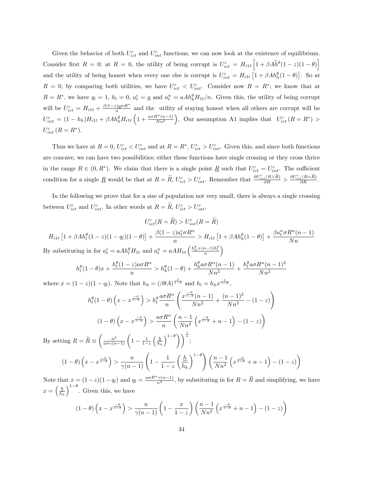Given the behavior of both  $U_{ict}^c$  and  $U_{int}^c$  functions, we can now look at the existence of equilibrium. Consider first  $R = 0$ ; at  $R = 0$ , the utility of being corrupt is  $U_{ict}^c = H_{i1t} \left[1 + \beta A \hat{h}^{\theta}(1-z)(1-\theta)\right]$ and the utility of being honest when every one else is corrupt is  $U_{int}^{c} = H_{i1t} \left[1 + \beta Ah_{h}^{\theta}(1-\theta)\right]$ . So at  $R = 0$ , by comparing both utilities, we have  $U_{ict}^c < U_{int}^c$ . Consider now  $R = R^*$ ; we know that at  $R = R^*$ , we have  $q_l = 1$ ,  $h_l = 0$ ,  $a_t^c = \underline{a}$  and  $a_t^n = aAh_h^{\theta}H_{1t}/n$ . Given this, the utility of being corrupt will be  $U_{ict}^c = H_{i1t} + \frac{\beta(1-z)\underline{a}\sigma R^{\alpha}}{n}$  $\frac{\partial \rho}{\partial n}$  and the utility of staying honest when all others are corrupt will be  $U_{int}^{c} = (1-h_h)H_{i1t} + \beta Ah_h^{\theta}H_{i1t}\left(1+\frac{a\sigma R^{\alpha}(n-1)}{Nn^2}\right)$ ). Our assumption A1 implies that  $U_{ict}^c (R = R^*)$  $U_{int}^{c}$   $(R = R^{*}).$ 

Thus we have at  $R = 0$ ,  $U_{ict}^c < U_{int}^c$  and at  $R = R^*$ ,  $U_{ict}^c > U_{int}^c$ . Given this, and since both functions are concave, we can have two possibilities; either these functions have single crossing or they cross thrice in the range  $R \in (0, R^*)$ . We claim that there is a single point  $\underline{R}$  such that  $U_{ict}^c = U_{int}^c$ . The sufficient condition for a single  $\underline{R}$  would be that at  $R = \widetilde{R}$ ,  $U_{ict}^c > U_{int}^c$ . Remember that  $\frac{\partial U_{ict}^c(R > \widetilde{R})}{\partial R} > \frac{\partial U_{ict}^c(R = \widetilde{R})}{\partial R}$ .

In the following we prove that for a size of population not very small, there is always a single crossing between  $U_{ict}^c$  and  $U_{int}^c$ . In other words at  $R = \tilde{R}$ ,  $U_{ict}^c > U_{int}^c$ .

$$
U_{ict}^{c}(R = \tilde{R}) > U_{int}^{c}(R = \tilde{R})
$$
  
\n
$$
H_{i1t} \left[1 + \beta A h_l^{\theta}(1 - z)(1 - q_l)(1 - \theta)\right] + \frac{\beta(1 - z)a_t^c \sigma R^{\alpha}}{n} > H_{i1t} \left[1 + \beta A h_h^{\theta}(1 - \theta)\right] + \frac{\beta a_t^n \sigma R^{\alpha}(n - 1)}{Nn}
$$
  
\nBy substituting in for  $a_t^c = a A h_l^{\theta} H_{1t}$  and  $a_t^n = a A H_{1t} \left(\frac{h_h^{\theta} + (n - 1)h_l^{\theta}}{n}\right)$ 

$$
h_l^{\theta}(1-\theta)x + \frac{h_l^{\theta}(1-z)a\sigma R^{\alpha}}{n} > h_h^{\theta}(1-\theta) + \frac{h_h^{\theta}a\sigma R^{\alpha}(n-1)}{Nn^2} + \frac{h_l^{\theta}a\sigma R^{\alpha}(n-1)^2}{Nn^2}
$$

where  $x = (1 - z)(1 - q_l)$ . Note that  $h_h = (\beta \theta A)^{\frac{1}{1 - \theta}}$  and  $h_l = h_h x^{\frac{1}{1 - \theta}}$ ,

$$
h_l^{\theta}(1-\theta)\left(x - x^{\frac{-\theta}{1-\theta}}\right) > h_l^{\theta} \frac{a\sigma R^{\alpha}}{n} \left(\frac{x^{\frac{-\theta}{1-\theta}}(n-1)}{Nn^2} + \frac{(n-1)^2}{Nn^2} - (1-z)\right)
$$

$$
(1-\theta)\left(x - x^{\frac{-\theta}{1-\theta}}\right) > \frac{a\sigma R^{\alpha}}{n} \left(\frac{n-1}{Nn^2}\left(x^{\frac{-\theta}{1-\theta}} + n - 1\right) - (1-z)\right)
$$

By setting  $R = R \equiv$  $\left(\frac{n^2}{a\sigma\gamma(n-1)}\left(1-\frac{1}{1-z}\right.\right.$  $\int h$  $h_h$  $\left( \begin{array}{c} 1-\theta \\ 1 \end{array} \right)$   $\frac{1}{\alpha}$ 

$$
(1-\theta)\left(x - x^{\frac{-\theta}{1-\theta}}\right) > \frac{n}{\gamma(n-1)} \left(1 - \frac{1}{1-z} \left(\frac{\underline{h}}{h_h}\right)^{1-\theta}\right) \left(\frac{n-1}{Nn^2} \left(x^{\frac{-\theta}{1-\theta}} + n - 1\right) - (1-z)\right)
$$

Note that  $x = (1-z)(1-q_l)$  and  $q_l = \frac{a\sigma R^{\alpha}\gamma(n-1)}{n^2}$ , by substituting in for  $R = \widetilde{R}$  and simplifying, we have  $x = \left(\frac{h}{h}\right)$  $h_h$  $\int_{0}^{1-\theta}$ . Given this, we have

$$
(1 - \theta)\left(x - x^{\frac{-\theta}{1 - \theta}}\right) > \frac{n}{\gamma(n-1)}\left(1 - \frac{x}{1 - z}\right)\left(\frac{n-1}{Nn^2}\left(x^{\frac{-\theta}{1 - \theta}} + n - 1\right) - (1 - z)\right)
$$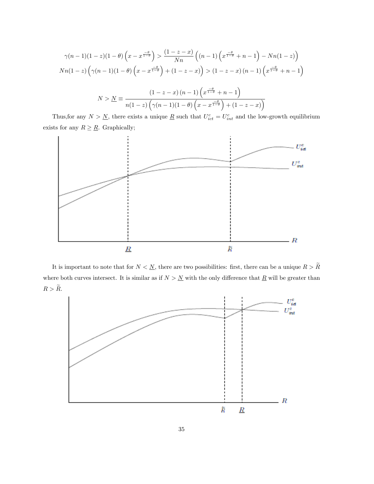$$
\gamma(n-1)(1-z)(1-\theta)\left(x-x^{\frac{-\theta}{1-\theta}}\right) > \frac{(1-z-x)}{Nn}\left((n-1)\left(x^{\frac{-\theta}{1-\theta}}+n-1\right)-Nn(1-z)\right)
$$
\n
$$
Nn(1-z)\left(\gamma(n-1)(1-\theta)\left(x-x^{\frac{-\theta}{1-\theta}}\right)+(1-z-x)\right) > (1-z-x)\left(n-1\right)\left(x^{\frac{-\theta}{1-\theta}}+n-1\right)
$$
\n
$$
N > \underline{N} \equiv \frac{(1-z-x)\left(n-1\right)\left(x^{\frac{-\theta}{1-\theta}}+n-1\right)}{n(1-z)\left(\gamma(n-1)(1-\theta)\left(x-x^{\frac{-\theta}{1-\theta}}\right)+(1-z-x)\right)}
$$

Thus, for any  $N > N$ , there exists a unique  $\underline{R}$  such that  $U_{ict}^c = U_{int}^c$  and the low-growth equilibrium exists for any  $R \geq \underline{R}$ . Graphically;



It is important to note that for  $N < N$ , there are two possibilities: first, there can be a unique  $R > \widetilde{R}$ where both curves intersect. It is similar as if  $N > N$  with the only difference that  $R$  will be greater than  $R>\tilde{R}.$